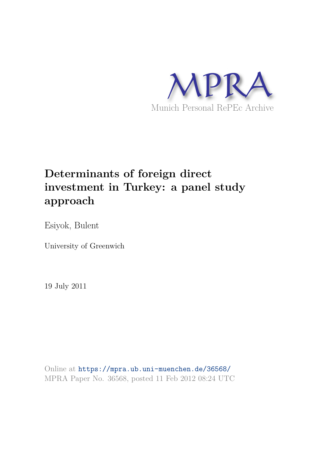

# **Determinants of foreign direct investment in Turkey: a panel study approach**

Esiyok, Bulent

University of Greenwich

19 July 2011

Online at https://mpra.ub.uni-muenchen.de/36568/ MPRA Paper No. 36568, posted 11 Feb 2012 08:24 UTC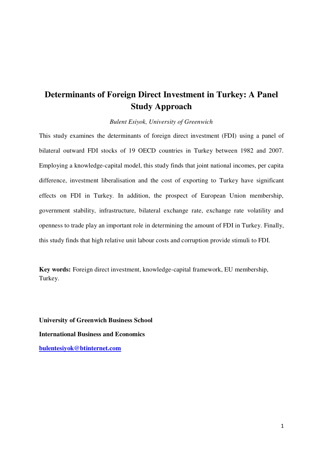## **Determinants of Foreign Direct Investment in Turkey: A Panel Study Approach**

*Bulent Esiyok, University of Greenwich* 

This study examines the determinants of foreign direct investment (FDI) using a panel of bilateral outward FDI stocks of 19 OECD countries in Turkey between 1982 and 2007. Employing a knowledge-capital model, this study finds that joint national incomes, per capita difference, investment liberalisation and the cost of exporting to Turkey have significant effects on FDI in Turkey. In addition, the prospect of European Union membership, government stability, infrastructure, bilateral exchange rate, exchange rate volatility and openness to trade play an important role in determining the amount of FDI in Turkey. Finally, this study finds that high relative unit labour costs and corruption provide stimuli to FDI.

**Key words:** Foreign direct investment, knowledge-capital framework, EU membership, Turkey.

**University of Greenwich Business School International Business and Economics [bulentesiyok@btinternet.com](mailto:bulentesiyok@btinternet.com)**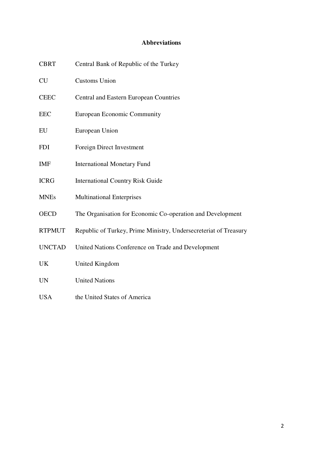## **Abbreviations**

| <b>CBRT</b>   | Central Bank of Republic of the Turkey                           |
|---------------|------------------------------------------------------------------|
| <b>CU</b>     | <b>Customs Union</b>                                             |
| <b>CEEC</b>   | <b>Central and Eastern European Countries</b>                    |
| <b>EEC</b>    | <b>European Economic Community</b>                               |
| EU            | European Union                                                   |
| <b>FDI</b>    | Foreign Direct Investment                                        |
| <b>IMF</b>    | <b>International Monetary Fund</b>                               |
| <b>ICRG</b>   | <b>International Country Risk Guide</b>                          |
| <b>MNEs</b>   | <b>Multinational Enterprises</b>                                 |
| <b>OECD</b>   | The Organisation for Economic Co-operation and Development       |
| <b>RTPMUT</b> | Republic of Turkey, Prime Ministry, Undersecreteriat of Treasury |
| <b>UNCTAD</b> | United Nations Conference on Trade and Development               |
| UK            | United Kingdom                                                   |
| <b>UN</b>     | <b>United Nations</b>                                            |
| <b>USA</b>    | the United States of America                                     |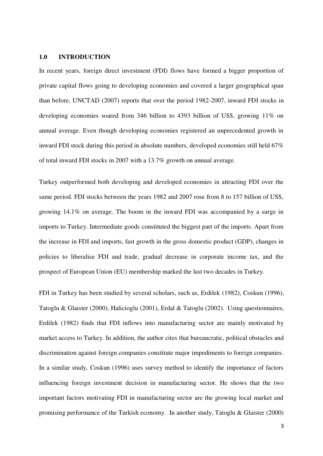#### **1.0 INTRODUCTION**

In recent years, foreign direct investment (FDI) flows have formed a bigger proportion of private capital flows going to developing economies and covered a larger geographical span than before. UNCTAD (2007) reports that over the period 1982-2007, inward FDI stocks in developing economies soared from 346 billion to 4393 billion of US\$, growing 11% on annual average. Even though developing economies registered an unprecedented growth in inward FDI stock during this period in absolute numbers, developed economies still held 67% of total inward FDI stocks in 2007 with a 13.7% growth on annual average.

Turkey outperformed both developing and developed economies in attracting FDI over the same period. FDI stocks between the years 1982 and 2007 rose from 8 to 157 billion of US\$, growing 14.1% on average. The boom in the inward FDI was accompanied by a surge in imports to Turkey. Intermediate goods constituted the biggest part of the imports. Apart from the increase in FDI and imports, fast growth in the gross domestic product (GDP), changes in policies to liberalise FDI and trade, gradual decrease in corporate income tax, and the prospect of European Union (EU) membership marked the last two decades in Turkey.

FDI in Turkey has been studied by several scholars, such as, Erdilek (1982), Coskun (1996), Tatoglu & Glaister (2000), Halicioglu (2001), Erdal & Tatoglu (2002). Using questionnaires, Erdilek (1982) finds that FDI inflows into manufacturing sector are mainly motivated by market access to Turkey. In addition, the author cites that bureaucratic, political obstacles and discrimination against foreign companies constitute major impediments to foreign companies. In a similar study, Coskun (1996) uses survey method to identify the importance of factors influencing foreign investment decision in manufacturing sector. He shows that the two important factors motivating FDI in manufacturing sector are the growing local market and promising performance of the Turkish economy. In another study, Tatoglu & Glaister (2000)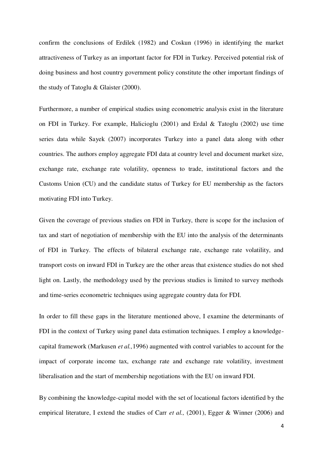confirm the conclusions of Erdilek (1982) and Coskun (1996) in identifying the market attractiveness of Turkey as an important factor for FDI in Turkey. Perceived potential risk of doing business and host country government policy constitute the other important findings of the study of Tatoglu & Glaister (2000).

Furthermore, a number of empirical studies using econometric analysis exist in the literature on FDI in Turkey. For example, Halicioglu (2001) and Erdal & Tatoglu (2002) use time series data while Sayek (2007) incorporates Turkey into a panel data along with other countries. The authors employ aggregate FDI data at country level and document market size, exchange rate, exchange rate volatility, openness to trade, institutional factors and the Customs Union (CU) and the candidate status of Turkey for EU membership as the factors motivating FDI into Turkey.

Given the coverage of previous studies on FDI in Turkey, there is scope for the inclusion of tax and start of negotiation of membership with the EU into the analysis of the determinants of FDI in Turkey. The effects of bilateral exchange rate, exchange rate volatility, and transport costs on inward FDI in Turkey are the other areas that existence studies do not shed light on. Lastly, the methodology used by the previous studies is limited to survey methods and time-series econometric techniques using aggregate country data for FDI.

In order to fill these gaps in the literature mentioned above, I examine the determinants of FDI in the context of Turkey using panel data estimation techniques. I employ a knowledgecapital framework (Markusen *et al.,*1996) augmented with control variables to account for the impact of corporate income tax, exchange rate and exchange rate volatility, investment liberalisation and the start of membership negotiations with the EU on inward FDI.

By combining the knowledge-capital model with the set of locational factors identified by the empirical literature, I extend the studies of Carr *et al.,* (2001), Egger & Winner (2006) and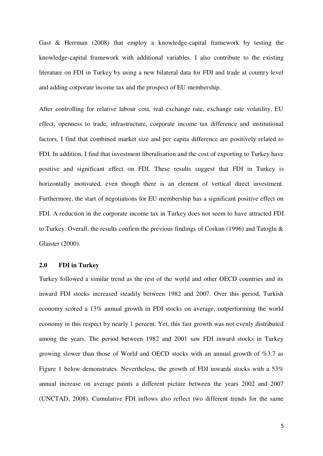Gast & Herrman (2008) that employ a knowledge-capital framework by testing the knowledge-capital framework with additional variables. I also contribute to the existing literature on FDI in Turkey by using a new bilateral data for FDI and trade at country level and adding corporate income tax and the prospect of EU membership.

After controlling for relative labour cost, real exchange rate, exchange rate volatility, EU effect, openness to trade, infrastructure, corporate income tax difference and institutional factors, I find that combined market size and per capita difference are positively related to FDI. In addition, I find that investment liberalisation and the cost of exporting to Turkey have positive and significant effect on FDI. These results suggest that FDI in Turkey is horizontally motivated, even though there is an element of vertical direct investment. Furthermore, the start of negotiations for EU membership has a significant positive effect on FDI. A reduction in the corporate income tax in Turkey does not seem to have attracted FDI to Turkey. Overall, the results confirm the previous findings of Coskun (1996) and Tatoglu & Glaister (2000).

## **2.0 FDI in Turkey**

Turkey followed a similar trend as the rest of the world and other OECD countries and its inward FDI stocks increased steadily between 1982 and 2007. Over this period, Turkish economy scored a 13% annual growth in FDI stocks on average, outperforming the world economy in this respect by nearly 1 percent. Yet, this fast growth was not evenly distributed among the years. The period between 1982 and 2001 saw FDI inward stocks in Turkey growing slower than those of World and OECD stocks with an annual growth of %3.7 as Figure 1 below demonstrates. Nevertheless, the growth of FDI inwards stocks with a 53% annual increase on average paints a different picture between the years 2002 and 2007 (UNCTAD, 2008). Cumulative FDI inflows also reflect two different trends for the same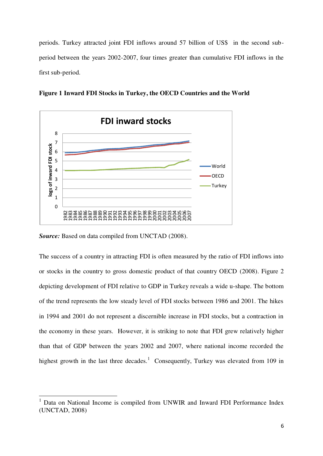periods. Turkey attracted joint FDI inflows around 57 billion of US\$ in the second subperiod between the years 2002-2007, four times greater than cumulative FDI inflows in the first sub-period.



**Figure 1 Inward FDI Stocks in Turkey, the OECD Countries and the World** 

*Source:* Based on data compiled from UNCTAD (2008).

<u>.</u>

The success of a country in attracting FDI is often measured by the ratio of FDI inflows into or stocks in the country to gross domestic product of that country OECD (2008). Figure 2 depicting development of FDI relative to GDP in Turkey reveals a wide u-shape. The bottom of the trend represents the low steady level of FDI stocks between 1986 and 2001. The hikes in 1994 and 2001 do not represent a discernible increase in FDI stocks, but a contraction in the economy in these years. However, it is striking to note that FDI grew relatively higher than that of GDP between the years 2002 and 2007, where national income recorded the highest growth in the last three decades.<sup>1</sup> Consequently, Turkey was elevated from 109 in

<sup>1</sup> Data on National Income is compiled from UNWIR and Inward FDI Performance Index (UNCTAD, 2008)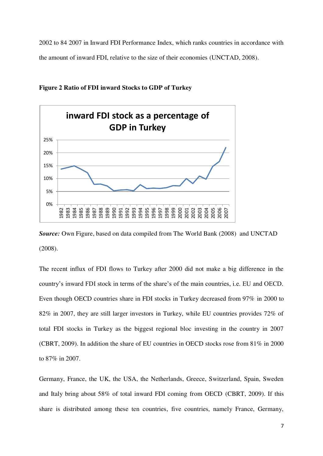2002 to 84 2007 in Inward FDI Performance Index, which ranks countries in accordance with the amount of inward FDI, relative to the size of their economies (UNCTAD, 2008).



**Figure 2 Ratio of FDI inward Stocks to GDP of Turkey** 

**Source:** Own Figure, based on data compiled from The World Bank (2008) and UNCTAD (2008).

The recent influx of FDI flows to Turkey after 2000 did not make a big difference in the country's inward FDI stock in terms of the share's of the main countries, i.e. EU and OECD. Even though OECD countries share in FDI stocks in Turkey decreased from 97% in 2000 to 82% in 2007, they are still larger investors in Turkey, while EU countries provides 72% of total FDI stocks in Turkey as the biggest regional bloc investing in the country in 2007 (CBRT, 2009). In addition the share of EU countries in OECD stocks rose from 81% in 2000 to 87% in 2007.

Germany, France, the UK, the USA, the Netherlands, Greece, Switzerland, Spain, Sweden and Italy bring about 58% of total inward FDI coming from OECD (CBRT, 2009). If this share is distributed among these ten countries, five countries, namely France, Germany,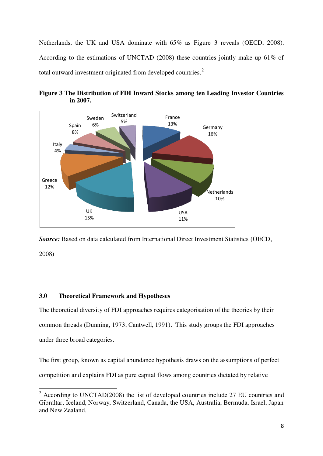Netherlands, the UK and USA dominate with 65% as Figure 3 reveals (OECD, 2008). According to the estimations of UNCTAD (2008) these countries jointly make up 61% of total outward investment originated from developed countries.<sup>2</sup>



**Figure 3 The Distribution of FDI Inward Stocks among ten Leading Investor Countries in 2007.** 

*Source:* Based on data calculated from International Direct Investment Statistics (OECD, 2008)

## **3.0 Theoretical Framework and Hypotheses**

<u>.</u>

The theoretical diversity of FDI approaches requires categorisation of the theories by their common threads (Dunning, 1973; Cantwell, 1991). This study groups the FDI approaches under three broad categories.

The first group, known as capital abundance hypothesis draws on the assumptions of perfect competition and explains FDI as pure capital flows among countries dictated by relative

 $2^2$  According to UNCTAD(2008) the list of developed countries include 27 EU countries and Gibraltar, Iceland, Norway, Switzerland, Canada, the USA, Australia, Bermuda, Israel, Japan and New Zealand.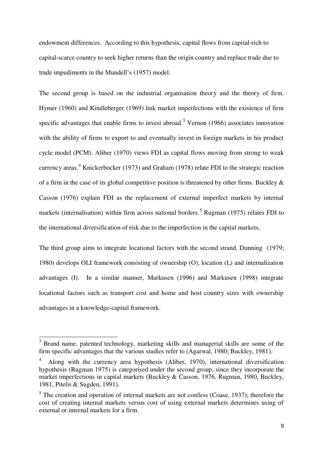endowment differences. According to this hypothesis, capital flows from capital-rich to capital-scarce country to seek higher returns than the origin country and replace trade due to trade impediments in the Mundell's (1957) model.

The second group is based on the industrial organisation theory and the theory of firm. Hymer (1960) and Kindleberger (1969) link market imperfections with the existence of firm specific advantages that enable firms to invest abroad.<sup>3</sup> Vernon  $(1966)$  associates innovation with the ability of firms to export to and eventually invest in foreign markets in his product cycle model (PCM). Aliber (1970) views FDI as capital flows moving from strong to weak currency areas.<sup>4</sup> Knickerbocker (1973) and Graham (1978) relate FDI to the strategic reaction of a firm in the case of its global competitive position is threatened by other firms. Buckley  $\&$ Casson (1976) explain FDI as the replacement of external imperfect markets by internal markets (internalisation) within firm across national borders.<sup>5</sup> Rugman (1975) relates FDI to the international diversification of risk due to the imperfection in the capital markets.

The third group aims to integrate locational factors with the second strand. Dunning (1979; 1980) develops OLI framework consisting of ownership (O), location (L) and internalization advantages (I). In a similar manner, Markusen (1996) and Markusen (1998) integrate locational factors such as transport cost and home and host country sizes with ownership advantages in a knowledge-capital framework.

 $\overline{a}$ 

<sup>3</sup> Brand name, patented technology, marketing skills and managerial skills are some of the firm specific advantages that the various studies refer to (Agarwal, 1980; Buckley, 1981).

<sup>4</sup> Along with the currency area hypothesis (Aliber, 1970), international diversification hypothesis (Rugman 1975) is categorised under the second group, since they incorporate the market imperfections in capital markets (Buckley & Casson, 1976, Rugman, 1980, Buckley, 1981, Pitelis & Sugden, 1991).

 $<sup>5</sup>$  The creation and operation of internal markets are not costless (Coase, 1937); therefore the</sup> cost of creating internal markets versus cost of using external markets determines using of external or internal markets for a firm.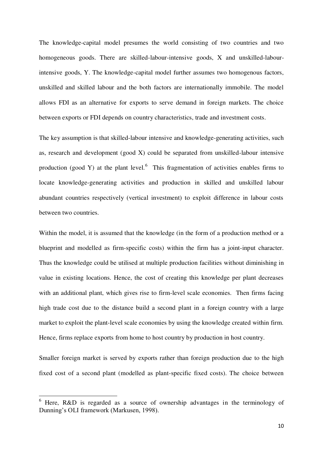The knowledge-capital model presumes the world consisting of two countries and two homogeneous goods. There are skilled-labour-intensive goods, X and unskilled-labourintensive goods, Y. The knowledge-capital model further assumes two homogenous factors, unskilled and skilled labour and the both factors are internationally immobile. The model allows FDI as an alternative for exports to serve demand in foreign markets. The choice between exports or FDI depends on country characteristics, trade and investment costs.

The key assumption is that skilled-labour intensive and knowledge-generating activities, such as, research and development (good X) could be separated from unskilled-labour intensive production (good Y) at the plant level. $6$  This fragmentation of activities enables firms to locate knowledge-generating activities and production in skilled and unskilled labour abundant countries respectively (vertical investment) to exploit difference in labour costs between two countries.

Within the model, it is assumed that the knowledge (in the form of a production method or a blueprint and modelled as firm-specific costs) within the firm has a joint-input character. Thus the knowledge could be utilised at multiple production facilities without diminishing in value in existing locations. Hence, the cost of creating this knowledge per plant decreases with an additional plant, which gives rise to firm-level scale economies. Then firms facing high trade cost due to the distance build a second plant in a foreign country with a large market to exploit the plant-level scale economies by using the knowledge created within firm. Hence, firms replace exports from home to host country by production in host country.

Smaller foreign market is served by exports rather than foreign production due to the high fixed cost of a second plant (modelled as plant-specific fixed costs). The choice between

<u>.</u>

<sup>6</sup> Here, R&D is regarded as a source of ownership advantages in the terminology of Dunning's OLI framework (Markusen, 1998).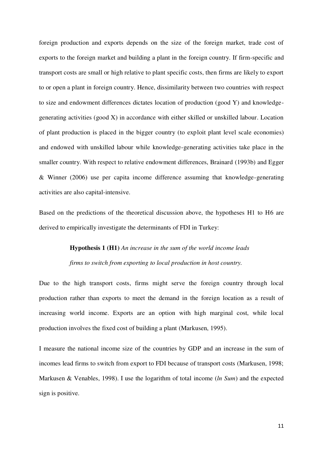foreign production and exports depends on the size of the foreign market, trade cost of exports to the foreign market and building a plant in the foreign country. If firm-specific and transport costs are small or high relative to plant specific costs, then firms are likely to export to or open a plant in foreign country. Hence, dissimilarity between two countries with respect to size and endowment differences dictates location of production (good Y) and knowledgegenerating activities (good X) in accordance with either skilled or unskilled labour. Location of plant production is placed in the bigger country (to exploit plant level scale economies) and endowed with unskilled labour while knowledge-generating activities take place in the smaller country. With respect to relative endowment differences, Brainard (1993b) and Egger & Winner (2006) use per capita income difference assuming that knowledge-generating activities are also capital-intensive.

Based on the predictions of the theoretical discussion above, the hypotheses H1 to H6 are derived to empirically investigate the determinants of FDI in Turkey:

## **Hypothesis 1 (H1)** *An increase in the sum of the world income leads firms to switch from exporting to local production in host country.*

Due to the high transport costs, firms might serve the foreign country through local production rather than exports to meet the demand in the foreign location as a result of increasing world income. Exports are an option with high marginal cost, while local production involves the fixed cost of building a plant (Markusen, 1995).

I measure the national income size of the countries by GDP and an increase in the sum of incomes lead firms to switch from export to FDI because of transport costs (Markusen, 1998; Markusen & Venables, 1998). I use the logarithm of total income (*ln Sum*) and the expected sign is positive.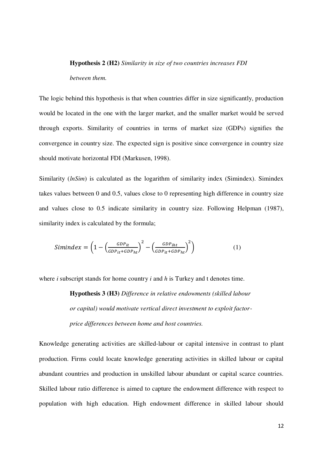#### **Hypothesis 2 (H2)** *Similarity in size of two countries increases FDI*

#### *between them.*

The logic behind this hypothesis is that when countries differ in size significantly, production would be located in the one with the larger market, and the smaller market would be served through exports. Similarity of countries in terms of market size (GDPs) signifies the convergence in country size. The expected sign is positive since convergence in country size should motivate horizontal FDI (Markusen, 1998).

Similarity (*lnSim*) is calculated as the logarithm of similarity index (Simindex). Simindex takes values between 0 and 0.5, values close to 0 representing high difference in country size and values close to 0.5 indicate similarity in country size. Following Helpman (1987), similarity index is calculated by the formula;

$$
Simindex = \left(1 - \left(\frac{GDP_{it}}{GDP_{it} + GDP_{ht}}\right)^2 - \left(\frac{GDP_{iht}}{GDP_{it} + GDP_{ht}}\right)^2\right)
$$
(1)

where *i* subscript stands for home country *i* and *h* is Turkey and t denotes time.

**Hypothesis 3 (H3)** *Difference in relative endowments (skilled labour or capital) would motivate vertical direct investment to exploit factorprice differences between home and host countries.* 

Knowledge generating activities are skilled-labour or capital intensive in contrast to plant production. Firms could locate knowledge generating activities in skilled labour or capital abundant countries and production in unskilled labour abundant or capital scarce countries. Skilled labour ratio difference is aimed to capture the endowment difference with respect to population with high education. High endowment difference in skilled labour should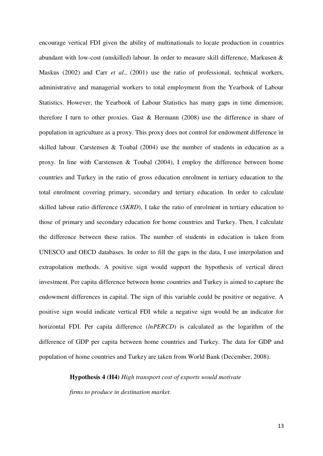encourage vertical FDI given the ability of multinationals to locate production in countries abundant with low-cost (unskilled) labour. In order to measure skill difference, Markusen & Maskus (2002) and Carr *et al.*, (2001) use the ratio of professional, technical workers, administrative and managerial workers to total employment from the Yearbook of Labour Statistics. However, the Yearbook of Labour Statistics has many gaps in time dimension; therefore I turn to other proxies. Gast & Hermann (2008) use the difference in share of population in agriculture as a proxy. This proxy does not control for endowment difference in skilled labour. Carstensen & Toubal (2004) use the number of students in education as a proxy. In line with Carstensen & Toubal (2004), I employ the difference between home countries and Turkey in the ratio of gross education enrolment in tertiary education to the total enrolment covering primary, secondary and tertiary education. In order to calculate skilled labour ratio difference (*SKRD*), I take the ratio of enrolment in tertiary education to those of primary and secondary education for home countries and Turkey. Then, I calculate the difference between these ratios. The number of students in education is taken from UNESCO and OECD databases. In order to fill the gaps in the data, I use interpolation and extrapolation methods. A positive sign would support the hypothesis of vertical direct investment. Per capita difference between home countries and Turkey is aimed to capture the endowment differences in capital. The sign of this variable could be positive or negative. A positive sign would indicate vertical FDI while a negative sign would be an indicator for horizontal FDI. Per capita difference (*lnPERCD*) is calculated as the logarithm of the difference of GDP per capita between home countries and Turkey. The data for GDP and population of home countries and Turkey are taken from World Bank (December, 2008).

#### **Hypothesis 4 (H4)** *High transport cost of exports would motivate*

*firms to produce in destination market.*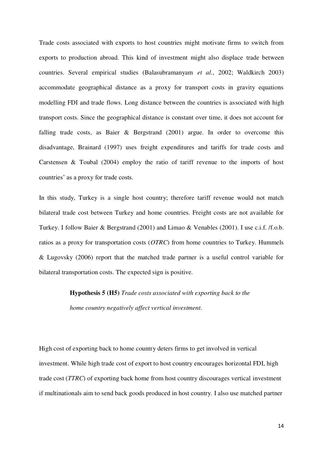Trade costs associated with exports to host countries might motivate firms to switch from exports to production abroad. This kind of investment might also displace trade between countries. Several empirical studies (Balasubramanyam *et al.*, 2002; Waldkirch 2003) accommodate geographical distance as a proxy for transport costs in gravity equations modelling FDI and trade flows. Long distance between the countries is associated with high transport costs. Since the geographical distance is constant over time, it does not account for falling trade costs, as Baier & Bergstrand (2001) argue. In order to overcome this disadvantage, Brainard (1997) uses freight expenditures and tariffs for trade costs and Carstensen & Toubal (2004) employ the ratio of tariff revenue to the imports of host countries' as a proxy for trade costs.

In this study, Turkey is a single host country; therefore tariff revenue would not match bilateral trade cost between Turkey and home countries. Freight costs are not available for Turkey. I follow Baier & Bergstrand (2001) and Limao & Venables (2001). I use c.i.f. /f.o.b. ratios as a proxy for transportation costs (*OTRC*) from home countries to Turkey. Hummels & Lugovsky (2006) report that the matched trade partner is a useful control variable for bilateral transportation costs. The expected sign is positive.

> **Hypothesis 5 (H5)** *Trade costs associated with exporting back to the home country negatively affect vertical investment.*

High cost of exporting back to home country deters firms to get involved in vertical investment. While high trade cost of export to host country encourages horizontal FDI, high trade cost (*TTRC*) of exporting back home from host country discourages vertical investment if multinationals aim to send back goods produced in host country. I also use matched partner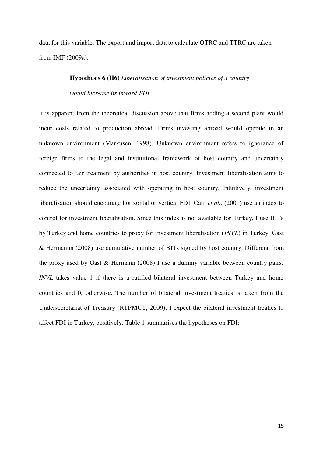data for this variable. The export and import data to calculate OTRC and TTRC are taken from IMF (2009a).

## **Hypothesis 6 (H6)** *Liberalisation of investment policies of a country would increase its inward FDI.*

It is apparent from the theoretical discussion above that firms adding a second plant would incur costs related to production abroad. Firms investing abroad would operate in an unknown environment (Markusen, 1998). Unknown environment refers to ignorance of foreign firms to the legal and institutional framework of host country and uncertainty connected to fair treatment by authorities in host country. Investment liberalisation aims to reduce the uncertainty associated with operating in host country. Intuitively, investment liberalisation should encourage horizontal or vertical FDI. Carr *et al.,* (2001) use an index to control for investment liberalisation. Since this index is not available for Turkey, I use BITs by Turkey and home countries to proxy for investment liberalisation (*INVL*) in Turkey. Gast & Hermannn (2008) use cumulative number of BITs signed by host country. Different from the proxy used by Gast & Hermann (2008) I use a dummy variable between country pairs. *INVL* takes value 1 if there is a ratified bilateral investment between Turkey and home countries and 0, otherwise. The number of bilateral investment treaties is taken from the Undersecretariat of Treasury (RTPMUT, 2009). I expect the bilateral investment treaties to affect FDI in Turkey, positively. Table 1 summarises the hypotheses on FDI: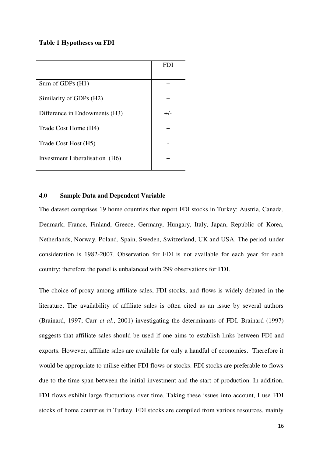#### **Table 1 Hypotheses on FDI**

|                                | FDI.   |
|--------------------------------|--------|
| Sum of GDPs $(H1)$             | +      |
| Similarity of GDPs (H2)        | $\div$ |
|                                |        |
| Difference in Endowments (H3)  | $+/-$  |
| Trade Cost Home (H4)           | $\div$ |
| Trade Cost Host (H5)           |        |
| Investment Liberalisation (H6) | ┿      |
|                                |        |

## **4.0 Sample Data and Dependent Variable**

The dataset comprises 19 home countries that report FDI stocks in Turkey: Austria, Canada, Denmark, France, Finland, Greece, Germany, Hungary, Italy, Japan, Republic of Korea, Netherlands, Norway, Poland, Spain, Sweden, Switzerland, UK and USA. The period under consideration is 1982-2007. Observation for FDI is not available for each year for each country; therefore the panel is unbalanced with 299 observations for FDI.

The choice of proxy among affiliate sales, FDI stocks, and flows is widely debated in the literature. The availability of affiliate sales is often cited as an issue by several authors (Brainard, 1997; Carr *et al*., 2001) investigating the determinants of FDI. Brainard (1997) suggests that affiliate sales should be used if one aims to establish links between FDI and exports. However, affiliate sales are available for only a handful of economies. Therefore it would be appropriate to utilise either FDI flows or stocks. FDI stocks are preferable to flows due to the time span between the initial investment and the start of production. In addition, FDI flows exhibit large fluctuations over time. Taking these issues into account, I use FDI stocks of home countries in Turkey. FDI stocks are compiled from various resources, mainly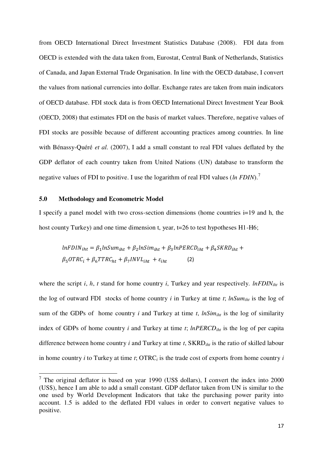from OECD International Direct Investment Statistics Database (2008). FDI data from OECD is extended with the data taken from, Eurostat, Central Bank of Netherlands, Statistics of Canada, and Japan External Trade Organisation. In line with the OECD database, I convert the values from national currencies into dollar. Exchange rates are taken from main indicators of OECD database. FDI stock data is from OECD International Direct Investment Year Book (OECD, 2008) that estimates FDI on the basis of market values. Therefore, negative values of FDI stocks are possible because of different accounting practices among countries. In line with Bénassy-Quéré *et al.* (2007), I add a small constant to real FDI values deflated by the GDP deflator of each country taken from United Nations (UN) database to transform the negative values of FDI to positive. I use the logarithm of real FDI values (*ln FDIN*).<sup>7</sup>

## **5.0 Methodology and Econometric Model**

 $\overline{\phantom{a}}$ 

I specify a panel model with two cross-section dimensions (home countries i=19 and h, the host county Turkey) and one time dimension t, year, t=26 to test hypotheses H1-H6;

$$
lnFDIN_{iht} = \beta_1 lnSum_{iht} + \beta_2 lnSim_{iht} + \beta_3 ln PERCD_{iht} + \beta_4 SKRD_{iht} + \beta_5 OTRC_i + \beta_6 TTRC_{ht} + \beta_7 INVL_{iht} + \varepsilon_{iht}
$$
 (2)

where the script *i*, *h*, *t* stand for home country *i*, Turkey and year respectively. *lnFDIN*<sub>*iht*</sub> is the log of outward FDI stocks of home country *i* in Turkey at time *t*; *lnSumiht* is the log of sum of the GDPs of home country  $i$  and Turkey at time  $t$ ,  $ln Sim_{iht}$  is the log of similarity index of GDPs of home country *i* and Turkey at time *t*; *lnPERCDiht* is the log of per capita difference between home country *i* and Turkey at time *t*, SKRD*iht* is the ratio of skilled labour in home country *i* to Turkey at time *t*; OTRC*i* is the trade cost of exports from home country *i*

 $7$  The original deflator is based on year 1990 (US\$ dollars), I convert the index into 2000 (US\$), hence I am able to add a small constant. GDP deflator taken from UN is similar to the one used by World Development Indicators that take the purchasing power parity into account. 1.5 is added to the deflated FDI values in order to convert negative values to positive.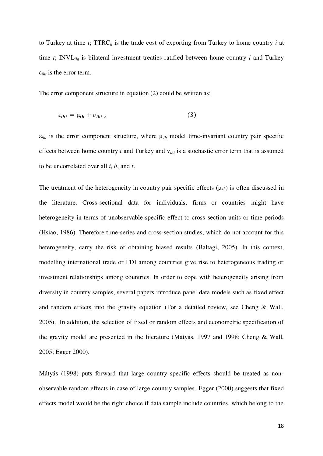to Turkey at time *t*; TTRC*h* is the trade cost of exporting from Turkey to home country *i* at time *t*; INVL*iht* is bilateral investment treaties ratified between home country *i* and Turkey ε*iht* is the error term.

The error component structure in equation (2) could be written as;

$$
\varepsilon_{iht} = \mu_{ih} + \nu_{iht} \tag{3}
$$

 $\varepsilon_{iht}$  is the error component structure, where  $\mu_{ih}$  model time-invariant country pair specific effects between home country *i* and Turkey and v*iht* is a stochastic error term that is assumed to be uncorrelated over all *i*, *h*, and *t*.

The treatment of the heterogeneity in country pair specific effects  $(\mu_{ih})$  is often discussed in the literature. Cross-sectional data for individuals, firms or countries might have heterogeneity in terms of unobservable specific effect to cross-section units or time periods (Hsiao, 1986). Therefore time-series and cross-section studies, which do not account for this heterogeneity, carry the risk of obtaining biased results (Baltagi, 2005). In this context, modelling international trade or FDI among countries give rise to heterogeneous trading or investment relationships among countries. In order to cope with heterogeneity arising from diversity in country samples, several papers introduce panel data models such as fixed effect and random effects into the gravity equation (For a detailed review, see Cheng & Wall, 2005). In addition, the selection of fixed or random effects and econometric specification of the gravity model are presented in the literature (Mátyás, 1997 and 1998; Cheng & Wall, 2005; Egger 2000).

Mátyás (1998) puts forward that large country specific effects should be treated as nonobservable random effects in case of large country samples. Egger (2000) suggests that fixed effects model would be the right choice if data sample include countries, which belong to the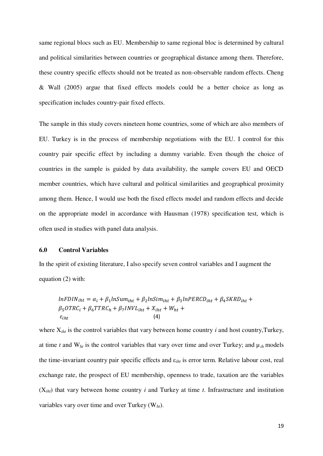same regional blocs such as EU. Membership to same regional bloc is determined by cultural and political similarities between countries or geographical distance among them. Therefore, these country specific effects should not be treated as non-observable random effects. Cheng & Wall (2005) argue that fixed effects models could be a better choice as long as specification includes country-pair fixed effects.

The sample in this study covers nineteen home countries, some of which are also members of EU. Turkey is in the process of membership negotiations with the EU. I control for this country pair specific effect by including a dummy variable. Even though the choice of countries in the sample is guided by data availability, the sample covers EU and OECD member countries, which have cultural and political similarities and geographical proximity among them. Hence, I would use both the fixed effects model and random effects and decide on the appropriate model in accordance with Hausman (1978) specification test, which is often used in studies with panel data analysis.

### **6.0 Control Variables**

In the spirit of existing literature, I also specify seven control variables and I augment the equation (2) with:

$$
lnFDIN_{iht} = \alpha_i + \beta_1 lnSum_{iht} + \beta_2 lnSim_{iht} + \beta_3 ln PERCD_{iht} + \beta_4 SKRD_{iht} + \beta_5 OTRC_i + \beta_6 TTRC_h + \beta_7 INVL_{iht} + X_{iht} + W_{ht} + \epsilon_{iht}
$$
\n(4)

where X*iht* is the control variables that vary between home country *i* and host country,Turkey, at time *t* and  $W_{ht}$  is the control variables that vary over time and over Turkey; and  $\mu_{ih}$  models the time-invariant country pair specific effects and ε*iht* is error term. Relative labour cost, real exchange rate, the prospect of EU membership, openness to trade, taxation are the variables (X*iht*) that vary between home country *i* and Turkey at time *t*. Infrastructure and institution variables vary over time and over Turkey (W*ht*).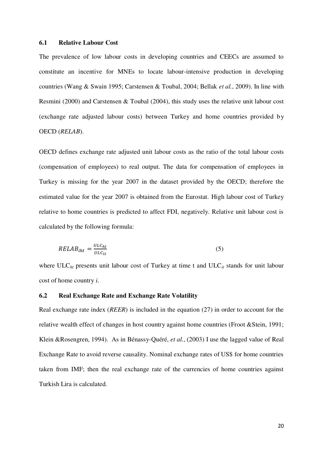#### **6.1 Relative Labour Cost**

The prevalence of low labour costs in developing countries and CEECs are assumed to constitute an incentive for MNEs to locate labour-intensive production in developing countries (Wang & Swain 1995; Carstensen & Toubal, 2004; Bellak *et al.*, 2009). In line with Resmini (2000) and Carstensen & Toubal (2004), this study uses the relative unit labour cost (exchange rate adjusted labour costs) between Turkey and home countries provided b y OECD (*RELAB*).

OECD defines exchange rate adjusted unit labour costs as the ratio of the total labour costs (compensation of employees) to real output. The data for compensation of employees in Turkey is missing for the year 2007 in the dataset provided by the OECD; therefore the estimated value for the year 2007 is obtained from the Eurostat. High labour cost of Turkey relative to home countries is predicted to affect FDI, negatively. Relative unit labour cost is calculated by the following formula:

$$
RELAB_{iht} = \frac{ULC_{ht}}{ULC_{it}} \tag{5}
$$

where ULC<sub>ht</sub> presents unit labour cost of Turkey at time t and ULC<sub>it</sub> stands for unit labour cost of home country *i*.

## **6.2 Real Exchange Rate and Exchange Rate Volatility**

Real exchange rate index (*REER*) is included in the equation (27) in order to account for the relative wealth effect of changes in host country against home countries (Froot &Stein, 1991; Klein &Rosengren, 1994). As in Bénassy-Quéré, *et al.*, (2003) I use the lagged value of Real Exchange Rate to avoid reverse causality. Nominal exchange rates of US\$ for home countries taken from IMF; then the real exchange rate of the currencies of home countries against Turkish Lira is calculated.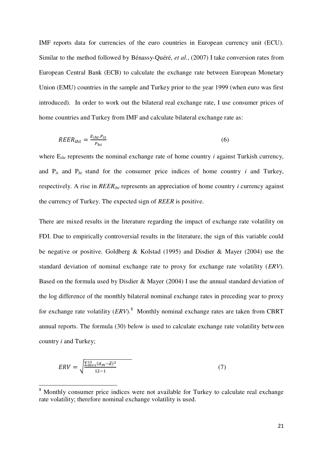IMF reports data for currencies of the euro countries in European currency unit (ECU). Similar to the method followed by Bénassy-Quéré, *et al.*, (2007) I take conversion rates from European Central Bank (ECB) to calculate the exchange rate between European Monetary Union (EMU) countries in the sample and Turkey prior to the year 1999 (when euro was first introduced). In order to work out the bilateral real exchange rate, I use consumer prices of home countries and Turkey from IMF and calculate bilateral exchange rate as:

$$
REER_{iht} = \frac{E_{iht}.P_{it}}{P_{ht}}\tag{6}
$$

where  $E_{iht}$  represents the nominal exchange rate of home country *i* against Turkish currency, and  $P_{it}$  and  $P_{ht}$  stand for the consumer price indices of home country *i* and Turkey, respectively. A rise in *REERiht* represents an appreciation of home country *i* currency against the currency of Turkey. The expected sign of *REER* is positive.

There are mixed results in the literature regarding the impact of exchange rate volatility on FDI. Due to empirically controversial results in the literature, the sign of this variable could be negative or positive. Goldberg & Kolstad (1995) and Disdier & Mayer (2004) use the standard deviation of nominal exchange rate to proxy for exchange rate volatility (*ERV*). Based on the formula used by Disdier & Mayer (2004) I use the annual standard deviation of the log difference of the monthly bilateral nominal exchange rates in preceding year to proxy for exchange rate volatility (*ERV*).<sup>8</sup> Monthly nominal exchange rates are taken from CBRT annual reports. The formula (30) below is used to calculate exchange rate volatility between country *i* and Turkey;

$$
ERV = \sqrt{\frac{\sum_{m=1}^{12} (d_m - \bar{d})^2}{12 - 1}}
$$
 (7)

<sup>&</sup>lt;sup>8</sup> Monthly consumer price indices were not available for Turkey to calculate real exchange rate volatility; therefore nominal exchange volatility is used.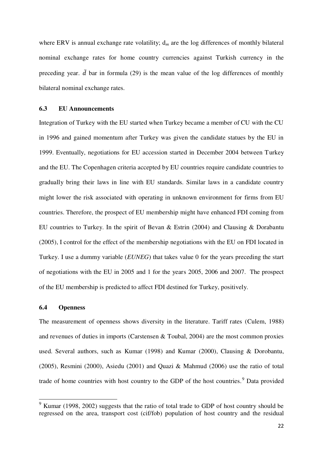where ERV is annual exchange rate volatility;  $d_m$  are the log differences of monthly bilateral nominal exchange rates for home country currencies against Turkish currency in the preceding year.  $\overline{d}$  bar in formula (29) is the mean value of the log differences of monthly bilateral nominal exchange rates.

#### **6.3 EU Announcements**

Integration of Turkey with the EU started when Turkey became a member of CU with the CU in 1996 and gained momentum after Turkey was given the candidate statues by the EU in 1999. Eventually, negotiations for EU accession started in December 2004 between Turkey and the EU. The Copenhagen criteria accepted by EU countries require candidate countries to gradually bring their laws in line with EU standards. Similar laws in a candidate country might lower the risk associated with operating in unknown environment for firms from EU countries. Therefore, the prospect of EU membership might have enhanced FDI coming from EU countries to Turkey. In the spirit of Bevan & Estrin (2004) and Clausing & Dorabantu (2005), I control for the effect of the membership negotiations with the EU on FDI located in Turkey. I use a dummy variable (*EUNEG*) that takes value 0 for the years preceding the start of negotiations with the EU in 2005 and 1 for the years 2005, 2006 and 2007. The prospect of the EU membership is predicted to affect FDI destined for Turkey, positively.

## **6.4 Openness**

The measurement of openness shows diversity in the literature. Tariff rates (Culem, 1988) and revenues of duties in imports (Carstensen & Toubal, 2004) are the most common proxies used. Several authors, such as Kumar (1998) and Kumar (2000), Clausing & Dorobantu, (2005), Resmini (2000), Asiedu (2001) and Quazi & Mahmud (2006) use the ratio of total trade of home countries with host country to the GDP of the host countries.<sup>9</sup> Data provided

 $\frac{9}{9}$  Kumar (1998, 2002) suggests that the ratio of total trade to GDP of host country should be regressed on the area, transport cost (cif/fob) population of host country and the residual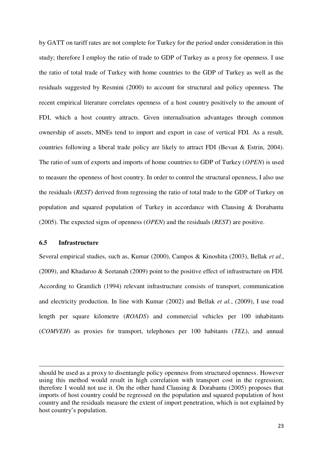by GATT on tariff rates are not complete for Turkey for the period under consideration in this study; therefore I employ the ratio of trade to GDP of Turkey as a proxy for openness. I use the ratio of total trade of Turkey with home countries to the GDP of Turkey as well as the residuals suggested by Resmini (2000) to account for structural and policy openness. The recent empirical literature correlates openness of a host country positively to the amount of FDI, which a host country attracts. Given internalisation advantages through common ownership of assets, MNEs tend to import and export in case of vertical FDI. As a result, countries following a liberal trade policy are likely to attract FDI (Bevan & Estrin, 2004). The ratio of sum of exports and imports of home countries to GDP of Turkey (*OPEN*) is used to measure the openness of host country. In order to control the structural openness, I also use the residuals (*REST*) derived from regressing the ratio of total trade to the GDP of Turkey on population and squared population of Turkey in accordance with Clausing & Dorabantu (2005). The expected signs of openness (*OPEN*) and the residuals (*REST*) are positive.

## **6.5 Infrastructure**

<u>.</u>

Several empirical studies, such as, Kumar (2000), Campos & Kinoshita (2003), Bellak *et al.*, (2009), and Khadaroo & Seetanah (2009) point to the positive effect of infrastructure on FDI. According to Gramlich (1994) relevant infrastructure consists of transport, communication and electricity production. In line with Kumar (2002) and Bellak *et al.*, (2009), I use road length per square kilometre (*ROADS*) and commercial vehicles per 100 inhabitants (*COMVEH*) as proxies for transport, telephones per 100 habitants (*TEL*), and annual

should be used as a proxy to disentangle policy openness from structured openness. However using this method would result in high correlation with transport cost in the regression; therefore I would not use it. On the other hand Clausing & Dorabantu (2005) proposes that imports of host country could be regressed on the population and squared population of host country and the residuals measure the extent of import penetration, which is not explained by host country's population.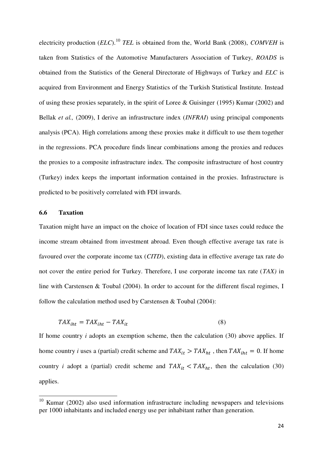electricity production (*ELC*).<sup>10</sup> *TEL* is obtained from the, World Bank (2008), *COMVEH* is taken from Statistics of the Automotive Manufacturers Association of Turkey, *ROADS* is obtained from the Statistics of the General Directorate of Highways of Turkey and *ELC* is acquired from Environment and Energy Statistics of the Turkish Statistical Institute. Instead of using these proxies separately, in the spirit of Loree & Guisinger (1995) Kumar (2002) and Bellak *et al.,* (2009), I derive an infrastructure index (*INFRAI*) using principal components analysis (PCA). High correlations among these proxies make it difficult to use them together in the regressions. PCA procedure finds linear combinations among the proxies and reduces the proxies to a composite infrastructure index. The composite infrastructure of host country (Turkey) index keeps the important information contained in the proxies. Infrastructure is predicted to be positively correlated with FDI inwards.

## **6.6 Taxation**

<u>.</u>

Taxation might have an impact on the choice of location of FDI since taxes could reduce the income stream obtained from investment abroad. Even though effective average tax rate is favoured over the corporate income tax (*CITD*), existing data in effective average tax rate do not cover the entire period for Turkey. Therefore, I use corporate income tax rate (*TAX)* in line with Carstensen & Toubal (2004). In order to account for the different fiscal regimes, I follow the calculation method used by Carstensen & Toubal (2004):

$$
TAX_{iht} = TAX_{iht} - TAX_{it}
$$
\n<sup>(8)</sup>

If home country *i* adopts an exemption scheme, then the calculation (30) above applies. If home country *i* uses a (partial) credit scheme and  $TAX_{it} > TAX_{ht}$ , then  $TAX_{iht} = 0$ . If home country *i* adopt a (partial) credit scheme and  $TAX_{it} < TAX_{ht}$ , then the calculation (30) applies.

Kumar (2002) also used information infrastructure including newspapers and televisions per 1000 inhabitants and included energy use per inhabitant rather than generation.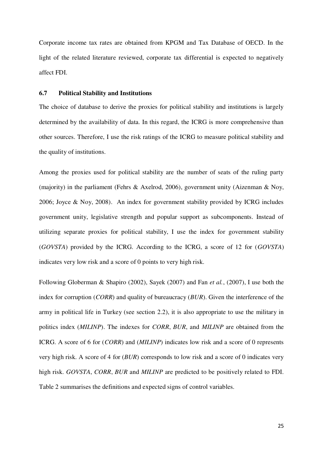Corporate income tax rates are obtained from KPGM and Tax Database of OECD. In the light of the related literature reviewed, corporate tax differential is expected to negatively affect FDI.

## **6.7 Political Stability and Institutions**

The choice of database to derive the proxies for political stability and institutions is largely determined by the availability of data. In this regard, the ICRG is more comprehensive than other sources. Therefore, I use the risk ratings of the ICRG to measure political stability and the quality of institutions.

Among the proxies used for political stability are the number of seats of the ruling party (majority) in the parliament (Fehrs & Axelrod, 2006), government unity (Aizenman & Noy, 2006; Joyce & Noy, 2008). An index for government stability provided by ICRG includes government unity, legislative strength and popular support as subcomponents. Instead of utilizing separate proxies for political stability, I use the index for government stability (*GOVSTA*) provided by the ICRG. According to the ICRG, a score of 12 for (*GOVSTA*) indicates very low risk and a score of 0 points to very high risk.

Following Globerman & Shapiro (2002), Sayek (2007) and Fan *et al.*, (2007), I use both the index for corruption (*CORR*) and quality of bureaucracy (*BUR*). Given the interference of the army in political life in Turkey (see section 2.2), it is also appropriate to use the military in politics index (*MILINP*). The indexes for *CORR*, *BUR*, and *MILINP* are obtained from the ICRG. A score of 6 for (*CORR*) and (*MILINP*) indicates low risk and a score of 0 represents very high risk. A score of 4 for (*BUR*) corresponds to low risk and a score of 0 indicates very high risk. *GOVSTA*, *CORR*, *BUR* and *MILINP* are predicted to be positively related to FDI. Table 2 summarises the definitions and expected signs of control variables.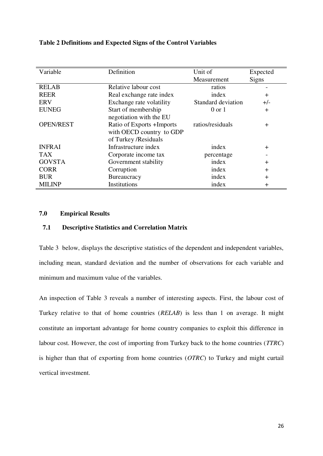|  | Table 2 Definitions and Expected Signs of the Control Variables |
|--|-----------------------------------------------------------------|
|--|-----------------------------------------------------------------|

| Variable         | Definition                | Unit of            | Expected     |
|------------------|---------------------------|--------------------|--------------|
|                  |                           | Measurement        | <b>Signs</b> |
| <b>RELAB</b>     | Relative labour cost      | ratios             |              |
| <b>REER</b>      | Real exchange rate index  | index              | $+$          |
| <b>ERV</b>       | Exchange rate volatility  | Standard deviation | $+/-$        |
| <b>EUNEG</b>     | Start of membership       | $0 \text{ or } 1$  | $+$          |
|                  | negotiation with the EU   |                    |              |
| <b>OPEN/REST</b> | Ratio of Exports +Imports | ratios/residuals   | $\ddot{}$    |
|                  | with OECD country to GDP  |                    |              |
|                  | of Turkey /Residuals      |                    |              |
| <b>INFRAI</b>    | Infrastructure index      | index              | $+$          |
| <b>TAX</b>       | Corporate income tax      | percentage         |              |
| <b>GOVSTA</b>    | Government stability      | index              | $\ddot{}$    |
| <b>CORR</b>      | Corruption                | index              | $+$          |
| <b>BUR</b>       | <b>Bureaucracy</b>        | index              | $+$          |
| <b>MILINP</b>    | Institutions              | index              | $\pm$        |

## **7.0 Empirical Results**

## **7.1 Descriptive Statistics and Correlation Matrix**

Table 3 below, displays the descriptive statistics of the dependent and independent variables, including mean, standard deviation and the number of observations for each variable and minimum and maximum value of the variables.

An inspection of Table 3 reveals a number of interesting aspects. First, the labour cost of Turkey relative to that of home countries (*RELAB*) is less than 1 on average. It might constitute an important advantage for home country companies to exploit this difference in labour cost. However, the cost of importing from Turkey back to the home countries (*TTRC*) is higher than that of exporting from home countries (*OTRC*) to Turkey and might curtail vertical investment.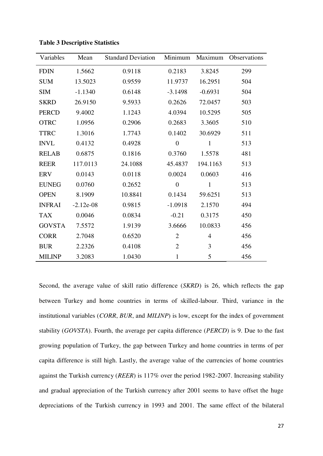| Variables     | Mean        | <b>Standard Deviation</b> | Minimum        | Maximum      | <b>Observations</b> |
|---------------|-------------|---------------------------|----------------|--------------|---------------------|
| <b>FDIN</b>   | 1.5662      | 0.9118                    | 0.2183         | 3.8245       | 299                 |
| <b>SUM</b>    | 13.5023     | 0.9559                    | 11.9737        | 16.2951      | 504                 |
| <b>SIM</b>    | $-1.1340$   | 0.6148                    | $-3.1498$      | $-0.6931$    | 504                 |
| <b>SKRD</b>   | 26.9150     | 9.5933                    | 0.2626         | 72.0457      | 503                 |
| <b>PERCD</b>  | 9.4002      | 1.1243                    | 4.0394         | 10.5295      | 505                 |
| <b>OTRC</b>   | 1.0956      | 0.2906                    | 0.2683         | 3.3605       | 510                 |
| <b>TTRC</b>   | 1.3016      | 1.7743                    | 0.1402         | 30.6929      | 511                 |
| <b>INVL</b>   | 0.4132      | 0.4928                    | $\overline{0}$ | $\mathbf{1}$ | 513                 |
| <b>RELAB</b>  | 0.6875      | 0.1816                    | 0.3760         | 1.5578       | 481                 |
| <b>REER</b>   | 117.0113    | 24.1088                   | 45.4837        | 194.1163     | 513                 |
| <b>ERV</b>    | 0.0143      | 0.0118                    | 0.0024         | 0.0603       | 416                 |
| <b>EUNEG</b>  | 0.0760      | 0.2652                    | $\overline{0}$ | $\mathbf{1}$ | 513                 |
| <b>OPEN</b>   | 8.1909      | 10.8841                   | 0.1434         | 59.6251      | 513                 |
| <b>INFRAI</b> | $-2.12e-08$ | 0.9815                    | $-1.0918$      | 2.1570       | 494                 |
| <b>TAX</b>    | 0.0046      | 0.0834                    | $-0.21$        | 0.3175       | 450                 |
| <b>GOVSTA</b> | 7.5572      | 1.9139                    | 3.6666         | 10.0833      | 456                 |
| <b>CORR</b>   | 2.7048      | 0.6520                    | $\overline{2}$ | 4            | 456                 |
| <b>BUR</b>    | 2.2326      | 0.4108                    | $\overline{2}$ | 3            | 456                 |
| <b>MILINP</b> | 3.2083      | 1.0430                    | $\mathbf{1}$   | 5            | 456                 |

**Table 3 Descriptive Statistics** 

Second, the average value of skill ratio difference (*SKRD*) is 26, which reflects the gap between Turkey and home countries in terms of skilled-labour. Third, variance in the institutional variables (*CORR*, *BUR*, and *MILINP*) is low, except for the index of government stability (*GOVSTA*). Fourth, the average per capita difference (*PERCD*) is 9. Due to the fast growing population of Turkey, the gap between Turkey and home countries in terms of per capita difference is still high. Lastly, the average value of the currencies of home countries against the Turkish currency (*REER*) is 117% over the period 1982-2007. Increasing stability and gradual appreciation of the Turkish currency after 2001 seems to have offset the huge depreciations of the Turkish currency in 1993 and 2001. The same effect of the bilateral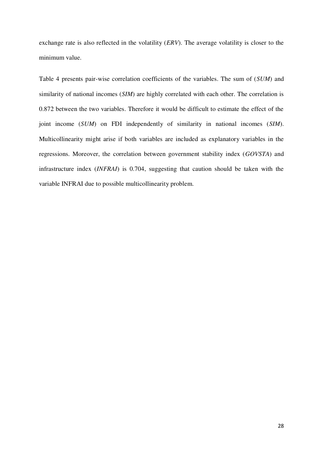exchange rate is also reflected in the volatility (*ERV*). The average volatility is closer to the minimum value.

Table 4 presents pair-wise correlation coefficients of the variables. The sum of (*SUM*) and similarity of national incomes (*SIM*) are highly correlated with each other. The correlation is 0.872 between the two variables. Therefore it would be difficult to estimate the effect of the joint income (*SUM*) on FDI independently of similarity in national incomes (*SIM*). Multicollinearity might arise if both variables are included as explanatory variables in the regressions. Moreover, the correlation between government stability index (*GOVSTA*) and infrastructure index (*INFRAI*) is 0.704, suggesting that caution should be taken with the variable INFRAI due to possible multicollinearity problem.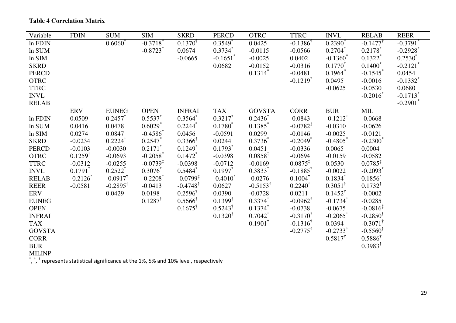| Variable                           | <b>FDIN</b>           | <b>SUM</b>            | <b>SIM</b>             | <b>SKRD</b>           | <b>PERCD</b>           | <b>OTRC</b>           | <b>TTRC</b>            | <b>INVL</b>            | <b>RELAB</b>           | <b>REER</b>            |
|------------------------------------|-----------------------|-----------------------|------------------------|-----------------------|------------------------|-----------------------|------------------------|------------------------|------------------------|------------------------|
| In FDIN                            |                       | $0.6060^*$            | $-0.3718$ <sup>*</sup> | $0.1370^{\dagger}$    | 0.3549                 | 0.0425                | $-0.1386^{\dagger}$    | $0.2390^{\degree}$     | $-0.1477$              | $-0.3791$              |
| In SUM                             |                       |                       | $-0.8723$ <sup>*</sup> | 0.0674                | $0.3734^{*}$           | $-0.0115$             | $-0.0566$              | $0.2704$ *             | $0.2178$ <sup>*</sup>  | $-0.2928$              |
| ln SIM                             |                       |                       |                        | $-0.0665$             | $-0.1651$ <sup>*</sup> | $-0.0025$             | 0.0402                 | $-0.1360$ <sup>*</sup> | $0.1322$ <sup>*</sup>  | $0.2530^*$             |
| <b>SKRD</b>                        |                       |                       |                        |                       | 0.0682                 | $-0.0152$             | $-0.0316$              | $0.1770^*$             | $0.1400*$              | $-0.2121$ <sup>*</sup> |
| <b>PERCD</b>                       |                       |                       |                        |                       |                        | $0.1314$ <sup>*</sup> | $-0.0481$              | $0.1964$ <sup>*</sup>  | $-0.1545$              | 0.0454                 |
| <b>OTRC</b>                        |                       |                       |                        |                       |                        |                       | $-0.1219$ <sup>*</sup> | 0.0495                 | $-0.0016$              | $-0.1332$ <sup>*</sup> |
| <b>TTRC</b>                        |                       |                       |                        |                       |                        |                       |                        | $-0.0625$              | $-0.0530$              | 0.0680                 |
| <b>INVL</b>                        |                       |                       |                        |                       |                        |                       |                        |                        | $-0.2016$ *            | $-0.1713$ <sup>*</sup> |
| <b>RELAB</b>                       |                       |                       |                        |                       |                        |                       |                        |                        |                        | $-0.2901$              |
|                                    | <b>ERV</b>            | <b>EUNEG</b>          | <b>OPEN</b>            | <b>INFRAI</b>         | <b>TAX</b>             | <b>GOVSTA</b>         | <b>CORR</b>            | <b>BUR</b>             | <b>MIL</b>             |                        |
| In FDIN                            | 0.0509                | 0.2457                | $0.5537*$              | 0.3564                | $0.3217$ *             | $0.2436^*$            | $-0.0843$              | $-0.1212^{\dagger}$    | $-0.0668$              |                        |
| $ln$ SUM                           | 0.0416                | 0.0478                | $0.6029$ <sup>*</sup>  | 0.2244                | $0.1780^{*}$           | 0.1385                | $-0.0782^{\ddagger}$   | $-0.0310$              | $-0.0626$              |                        |
| ln SIM                             | 0.0274                | 0.0847                | $-0.4586$ <sup>*</sup> | 0.0456                | $-0.0591$              | 0.0299                | $-0.0146$              | $-0.0025$              | $-0.0121$              |                        |
| <b>SKRD</b>                        | $-0.0234$             | $0.2224^{\dagger}$    | 0.2547                 | $0.3366^{\dagger}$    | 0.0244                 | $0.3736^*$            | $-0.2049$ <sup>*</sup> | $-0.4805$              | $-0.2300*$             |                        |
| PERCD                              | $-0.0103$             | $-0.0030$             | $0.2171$ <sup>*</sup>  | $0.1249$ <sup>*</sup> | $0.1793$ <sup>*</sup>  | 0.0451                | $-0.0336$              | 0.0065                 | 0.0004                 |                        |
| <b>OTRC</b>                        | $0.1259^{\dagger}$    | $-0.0693$             | $-0.2058$              | $0.1472$ <sup>*</sup> | $-0.0398$              | $0.0858^{\ddagger}$   | $-0.0694$              | $-0.0159$              | $-0.0582$              |                        |
| <b>TTRC</b>                        | $-0.0312$             | $-0.0255$             | $-0.0739^{\ddagger}$   | $-0.0398$             | $-0.0712$              | $-0.0169$             | $0.0875^{\ddagger}$    | 0.0530                 | $0.0785^{\ddagger}$    |                        |
| $\ensuremath{\text{INV}}\xspace L$ | $0.1791$ <sup>*</sup> | $0.2522$ <sup>*</sup> | $0.3076^*$             | $0.5484$ <sup>*</sup> | $0.1997^*$             | $0.3833*$             | $-0.1885$ <sup>*</sup> | $-0.0022$              | $-0.2093$ <sup>*</sup> |                        |
| <b>RELAB</b>                       | $-0.2126$             | $-0.0917^{\dagger}$   | $-0.2208$              | $-0.0799^{\ddagger}$  | $-0.4010^*$            | $-0.0276$             | $0.1004^{\dagger}$     | $0.1834$ <sup>*</sup>  | $0.1856^{*}$           |                        |
| <b>REER</b>                        | $-0.0581$             | $-0.2895^{\dagger}$   | $-0.0413$              | $-0.4748^{\dagger}$   | 0.0627                 | $-0.5153^{\dagger}$   | $0.2240^{\dagger}$     | $0.3051^{\dagger}$     | $0.1732^{\dagger}$     |                        |
| <b>ERV</b>                         |                       | 0.0429                | 0.0198                 | $0.2596^{\dagger}$    | 0.0390                 | $-0.0728$             | 0.0211                 | $0.1452^{\dagger}$     | $-0.0002$              |                        |
| <b>EUNEG</b>                       |                       |                       | $0.1287^{\dagger}$     | $0.5666^{\dagger}$    | $0.1399^{\dagger}$     | $0.3374^{\dagger}$    | $-0.0962^{\dagger}$    | $-0.1734$ <sup>†</sup> | $-0.0285$              |                        |
| <b>OPEN</b>                        |                       |                       |                        | $0.1675^{\dagger}$    | $0.5243^{\dagger}$     | $0.1374^{\dagger}$    | $-0.0738$              | $-0.0675$              | $-0.0816^{\ddagger}$   |                        |
| <b>INFRAI</b>                      |                       |                       |                        |                       | $0.1320^{\dagger}$     | $0.7042^{\dagger}$    | $-0.3170^{\dagger}$    | $-0.2065^{\dagger}$    | $-0.2850^{\dagger}$    |                        |
| <b>TAX</b>                         |                       |                       |                        |                       |                        | $0.1901^{\dagger}$    | $-0.1316^{\dagger}$    | 0.0394                 | $-0.3071^{\dagger}$    |                        |
| <b>GOVSTA</b>                      |                       |                       |                        |                       |                        |                       | $-0.2775^{\dagger}$    | $-0.2733^{\dagger}$    | $-0.5560^{\dagger}$    |                        |
| <b>CORR</b>                        |                       |                       |                        |                       |                        |                       |                        | $0.5817^{\dagger}$     | $0.5886^{\dagger}$     |                        |
| <b>BUR</b>                         |                       |                       |                        |                       |                        |                       |                        |                        | $0.3983^{\dagger}$     |                        |
| <b>MILINP</b>                      |                       |                       |                        |                       |                        |                       |                        |                        |                        |                        |

**Table 4 Correlation Matrix** 

\*,  $^*$ ,  $^*$  represents statistical significance at the 1%, 5% and 10% level, respectively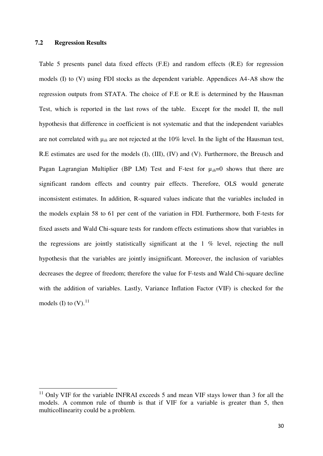#### **7.2 Regression Results**

<u>.</u>

Table 5 presents panel data fixed effects (F.E) and random effects (R.E) for regression models (I) to (V) using FDI stocks as the dependent variable. Appendices A4-A8 show the regression outputs from STATA. The choice of F.E or R.E is determined by the Hausman Test, which is reported in the last rows of the table. Except for the model II, the null hypothesis that difference in coefficient is not systematic and that the independent variables are not correlated with μ*ih* are not rejected at the 10% level. In the light of the Hausman test, R.E estimates are used for the models (I), (III), (IV) and (V). Furthermore, the Breusch and Pagan Lagrangian Multiplier (BP LM) Test and F-test for µ*ih*=0 shows that there are significant random effects and country pair effects. Therefore, OLS would generate inconsistent estimates. In addition, R-squared values indicate that the variables included in the models explain 58 to 61 per cent of the variation in FDI. Furthermore, both F-tests for fixed assets and Wald Chi-square tests for random effects estimations show that variables in the regressions are jointly statistically significant at the 1 % level, rejecting the null hypothesis that the variables are jointly insignificant. Moreover, the inclusion of variables decreases the degree of freedom; therefore the value for F-tests and Wald Chi-square decline with the addition of variables. Lastly, Variance Inflation Factor (VIF) is checked for the models (I) to  $(V)$ .<sup>11</sup>

 $11$  Only VIF for the variable INFRAI exceeds 5 and mean VIF stays lower than 3 for all the models. A common rule of thumb is that if VIF for a variable is greater than 5, then multicollinearity could be a problem.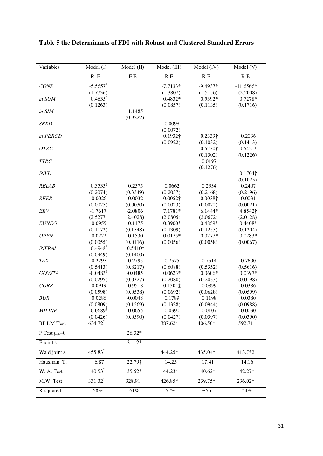| Variables             | Model (I)            | Model (II)         | Model (III)            | Model (IV)            | Model (V)             |
|-----------------------|----------------------|--------------------|------------------------|-----------------------|-----------------------|
|                       | R. E.                | F.E                | R.E                    | R.E                   | R.E                   |
| CONS                  | $-5.5657$            |                    | $-7.7133*$             | $-9.4937*$            | $-11.6566*$           |
|                       | (1.7736)             |                    | (1.3807)               | (1.5156)              | (2.2008)              |
| In SUM                | 0.4635               |                    | $0.4832*$              | 0.5392*               | 0.7278*               |
|                       | (0.1263)             |                    | (0.0857)               | (0.1135)              | (0.1716)              |
| ln SIM                |                      | 1.1485             |                        |                       |                       |
|                       |                      | (0.9222)           |                        |                       |                       |
| <b>SKRD</b>           |                      |                    | 0.0098                 |                       |                       |
|                       |                      |                    | (0.0072)               |                       |                       |
| In PERCD              |                      |                    | 0.1932†                | 0.2339†               | 0.2036                |
|                       |                      |                    | (0.0922)               | (0.1032)              | (0.1413)              |
| <b>OTRC</b>           |                      |                    |                        | 0.5730†               | $0.5421*$             |
|                       |                      |                    |                        | (0.1302)              | (0.1226)              |
| <b>TTRC</b>           |                      |                    |                        | 0.0197<br>(0.1276)    |                       |
| <b>INVL</b>           |                      |                    |                        |                       | 0.1704                |
|                       |                      |                    |                        |                       | (0.1025)              |
| <b>RELAB</b>          | $0.3533*$            | 0.2575             | 0.0662                 | 0.2334                | 0.2407                |
|                       | (0.2074)             | (0.3349)           | (0.2037)               | (0.2168)              | (0.2196)              |
| <b>REER</b>           | 0.0026               | 0.0032             | $-0.0052\dagger$       | $-0.0038$ ‡           | $-0.0031$             |
|                       | (0.0025)             | (0.0030)           | (0.0023)               | (0.0022)              | (0.0021)              |
| ERV                   | $-1.7617$            | $-2.0806$          | 7.1781*                | $6.1444*$             | 4.8542†               |
|                       | (2.5277)             | (2.4028)           | (2.0805)               | (2.0672)              | (2.0128)              |
| <b>EUNEG</b>          | 0.0955               | 0.1175             | 0.3900*                | 0.4859*               | $0.4408*$             |
|                       | (0.1172)             | (0.1548)           | (0.1309)               | (0.1253)              | (0.1204)              |
| <b>OPEN</b>           | 0.0222               | 0.1530             | $0.0175*$              | $0.0277*$             | $0.0283*$             |
|                       | (0.0055)             | (0.0116)           | (0.0056)               | (0.0058)              | (0.0067)              |
| <b>INFRAI</b>         | 0.4948               | $0.5410*$          |                        |                       |                       |
|                       | (0.0949)             | (0.1400)           |                        |                       |                       |
| <b>TAX</b>            | $-0.2297$            | $-0.2795$          | 0.7575                 | 0.7514                | 0.7600                |
|                       | (0.5413)             | (0.8217)           | (0.6088)               | (0.5352)              | (0.5616)              |
| <b>GOVSTA</b>         | $-0.0483^{\ddagger}$ | $-0.0485$          | $0.0623*$              | $0.0606*$<br>(0.2033) | $0.0397*$             |
| <b>CORR</b>           | (0.0295)<br>0.0919   | (0.0327)<br>0.9518 | (0.2080)<br>$-0.13011$ | $-0.0899$             | (0.0198)<br>$-0.0386$ |
|                       | (0.0598)             | (0.0538)           | (0.0692)               | (0.0628)              | (0.0599)              |
| <b>BUR</b>            | 0.0286               | $-0.0048$          | 0.1789                 | 0.1198                | 0.0380                |
|                       | (0.0809)             | (0.1569)           | (0.1328)               | (0.0944)              | (0.0988)              |
| <b>MILINP</b>         | $-0.0689^{\ddagger}$ | $-0.0655$          | 0.0390                 | 0.0107                | 0.0030                |
|                       | (0.0426)             | (0.0590)           | (0.0427)               | (0.0397)              | (0.0390)              |
| <b>BP LM Test</b>     | 634.72               |                    | 387.62*                | 406.50*               | 592.71                |
| F Test $\mu_{ih} = 0$ |                      | 26.32*             |                        |                       |                       |
| F joint s.            |                      | 21.12*             |                        |                       |                       |
| Wald joint s.         | 455.83               |                    | 444.25*                | 435.04*               | 413.7*2               |
| Hausman T.            | 6.87                 | 22.79†             | 14.25                  | 17.41                 | 14.16                 |
| W. A. Test            | $40.53$ <sup>*</sup> | 35.52*             | 44.23*                 | 40.62*                | $42.27*$              |
| M.W. Test             | 331.32               | 328.91             | 426.85*                | 239.75*               | 236.02*               |
| R-squared             | 58%                  | 61%                | 57%                    | %56                   | 54%                   |

**Table 5 the Determinants of FDI with Robust and Clustered Standard Errors**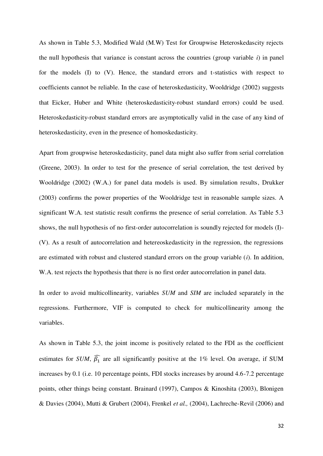As shown in Table 5.3, Modified Wald (M.W) Test for Groupwise Heteroskedascity rejects the null hypothesis that variance is constant across the countries (group variable *i*) in panel for the models (I) to (V). Hence, the standard errors and t-statistics with respect to coefficients cannot be reliable. In the case of heteroskedasticity, Wooldridge (2002) suggests that Eicker, Huber and White (heteroskedasticity-robust standard errors) could be used. Heteroskedasticity-robust standard errors are asymptotically valid in the case of any kind of heteroskedasticity, even in the presence of homoskedasticity.

Apart from groupwise heteroskedasticity, panel data might also suffer from serial correlation (Greene, 2003). In order to test for the presence of serial correlation, the test derived by Wooldridge (2002) (W.A.) for panel data models is used. By simulation results, Drukker (2003) confirms the power properties of the Wooldridge test in reasonable sample sizes. A significant W.A. test statistic result confirms the presence of serial correlation. As Table 5.3 shows, the null hypothesis of no first-order autocorrelation is soundly rejected for models (I)- (V). As a result of autocorrelation and hetereoskedasticity in the regression, the regressions are estimated with robust and clustered standard errors on the group variable (*i*). In addition, W.A. test rejects the hypothesis that there is no first order autocorrelation in panel data.

In order to avoid multicollinearity, variables *SUM* and *SIM* are included separately in the regressions. Furthermore, VIF is computed to check for multicollinearity among the variables.

As shown in Table 5.3, the joint income is positively related to the FDI as the coefficient estimates for *SUM*,  $\beta_1$  are all significantly positive at the 1% level. On average, if SUM increases by 0.1 (i.e. 10 percentage points, FDI stocks increases by around 4.6-7.2 percentage points, other things being constant. Brainard (1997), Campos & Kinoshita (2003), Blonigen & Davies (2004), Mutti & Grubert (2004), Frenkel *et al.,* (2004), Lachreche-Revil (2006) and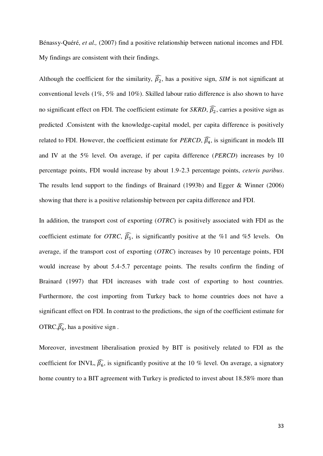Bénassy-Quéré, *et al.,* (2007) find a positive relationship between national incomes and FDI. My findings are consistent with their findings.

Although the coefficient for the similarity,  $\beta_2$ , has a positive sign, *SIM* is not significant at conventional levels (1%, 5% and 10%). Skilled labour ratio difference is also shown to have no significant effect on FDI. The coefficient estimate for *SKRD*,  $\beta_2$ , carries a positive sign as predicted .Consistent with the knowledge-capital model, per capita difference is positively related to FDI. However, the coefficient estimate for *PERCD*,  $\beta_4$ , is significant in models III and IV at the 5% level. On average, if per capita difference (*PERCD*) increases by 10 percentage points, FDI would increase by about 1.9-2.3 percentage points, *ceteris paribus*. The results lend support to the findings of Brainard (1993b) and Egger & Winner (2006) showing that there is a positive relationship between per capita difference and FDI.

In addition, the transport cost of exporting (*OTRC*) is positively associated with FDI as the coefficient estimate for *OTRC*,  $\widehat{\beta_5}$ , is significantly positive at the %1 and %5 levels. On average, if the transport cost of exporting (*OTRC*) increases by 10 percentage points, FDI would increase by about 5.4-5.7 percentage points. The results confirm the finding of Brainard (1997) that FDI increases with trade cost of exporting to host countries. Furthermore, the cost importing from Turkey back to home countries does not have a significant effect on FDI. In contrast to the predictions, the sign of the coefficient estimate for OTRC,  $\widehat{\beta_6}$ , has a positive sign.

Moreover, investment liberalisation proxied by BIT is positively related to FDI as the coefficient for INVL,  $\beta_6$ , is significantly positive at the 10 % level. On average, a signatory home country to a BIT agreement with Turkey is predicted to invest about 18.58% more than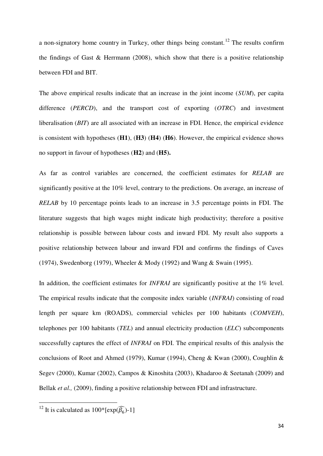a non-signatory home country in Turkey, other things being constant.<sup>12</sup> The results confirm the findings of Gast  $\&$  Herrmann (2008), which show that there is a positive relationship between FDI and BIT.

The above empirical results indicate that an increase in the joint income (*SUM*), per capita difference (*PERCD*), and the transport cost of exporting (*OTRC*) and investment liberalisation (*BIT*) are all associated with an increase in FDI. Hence, the empirical evidence is consistent with hypotheses (**H1**), (**H3**) (**H4**) (**H6**). However, the empirical evidence shows no support in favour of hypotheses (**H2**) and (**H5).** 

As far as control variables are concerned, the coefficient estimates for *RELAB* are significantly positive at the 10% level, contrary to the predictions. On average, an increase of *RELAB* by 10 percentage points leads to an increase in 3.5 percentage points in FDI. The literature suggests that high wages might indicate high productivity; therefore a positive relationship is possible between labour costs and inward FDI. My result also supports a positive relationship between labour and inward FDI and confirms the findings of Caves (1974), Swedenborg (1979), Wheeler & Mody (1992) and Wang & Swain (1995).

In addition, the coefficient estimates for *INFRAI* are significantly positive at the 1% level. The empirical results indicate that the composite index variable (*INFRAI*) consisting of road length per square km (ROADS), commercial vehicles per 100 habitants (*COMVEH*), telephones per 100 habitants (*TEL*) and annual electricity production (*ELC*) subcomponents successfully captures the effect of *INFRAI* on FDI. The empirical results of this analysis the conclusions of Root and Ahmed (1979), Kumar (1994), Cheng & Kwan (2000), Coughlin & Segev (2000), Kumar (2002), Campos & Kinoshita (2003), Khadaroo & Seetanah (2009) and Bellak *et al.*, (2009), finding a positive relationship between FDI and infrastructure.

 $\overline{\phantom{a}}$ 

<sup>&</sup>lt;sup>12</sup> It is calculated as  $100^*$  [exp( $\widehat{\beta_6}$ )-1]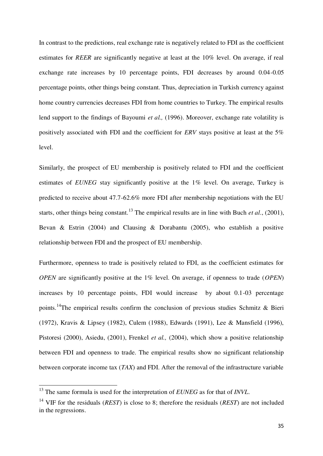In contrast to the predictions, real exchange rate is negatively related to FDI as the coefficient estimates for *REER* are significantly negative at least at the 10% level. On average, if real exchange rate increases by 10 percentage points, FDI decreases by around 0.04-0.05 percentage points, other things being constant. Thus, depreciation in Turkish currency against home country currencies decreases FDI from home countries to Turkey. The empirical results lend support to the findings of Bayoumi *et al.,* (1996). Moreover, exchange rate volatility is positively associated with FDI and the coefficient for *ERV* stays positive at least at the 5% level.

Similarly, the prospect of EU membership is positively related to FDI and the coefficient estimates of *EUNEG* stay significantly positive at the 1% level. On average, Turkey is predicted to receive about 47.7-62.6% more FDI after membership negotiations with the EU starts, other things being constant.<sup>13</sup> The empirical results are in line with Buch *et al.*, (2001), Bevan & Estrin (2004) and Clausing & Dorabantu (2005), who establish a positive relationship between FDI and the prospect of EU membership.

Furthermore, openness to trade is positively related to FDI, as the coefficient estimates for *OPEN* are significantly positive at the 1% level. On average, if openness to trade (*OPEN*) increases by 10 percentage points, FDI would increase by about 0.1-03 percentage points.<sup>14</sup>The empirical results confirm the conclusion of previous studies Schmitz & Bieri (1972), Kravis & Lipsey (1982), Culem (1988), Edwards (1991), Lee & Mansfield (1996), Pistoresi (2000), Asiedu, (2001), Frenkel *et al.,* (2004), which show a positive relationship between FDI and openness to trade. The empirical results show no significant relationship between corporate income tax (*TAX*) and FDI. After the removal of the infrastructure variable

 $\overline{\phantom{a}}$ 

<sup>13</sup> The same formula is used for the interpretation of *EUNEG* as for that of *INVL*.

<sup>14</sup> VIF for the residuals (*REST*) is close to 8; therefore the residuals (*REST*) are not included in the regressions.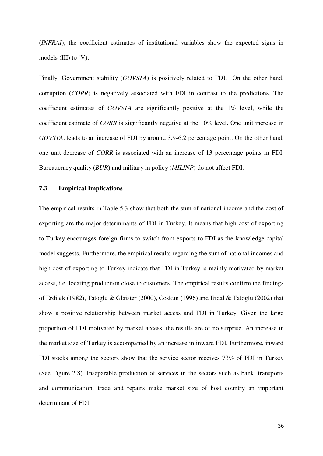(*INFRAI*), the coefficient estimates of institutional variables show the expected signs in models (III) to (V).

Finally, Government stability (*GOVSTA*) is positively related to FDI. On the other hand, corruption (*CORR*) is negatively associated with FDI in contrast to the predictions. The coefficient estimates of *GOVSTA* are significantly positive at the 1% level, while the coefficient estimate of *CORR* is significantly negative at the 10% level. One unit increase in *GOVSTA*, leads to an increase of FDI by around 3.9-6.2 percentage point. On the other hand, one unit decrease of *CORR* is associated with an increase of 13 percentage points in FDI. Bureaucracy quality (*BUR*) and military in policy (*MILINP*) do not affect FDI.

## **7.3 Empirical Implications**

The empirical results in Table 5.3 show that both the sum of national income and the cost of exporting are the major determinants of FDI in Turkey. It means that high cost of exporting to Turkey encourages foreign firms to switch from exports to FDI as the knowledge-capital model suggests. Furthermore, the empirical results regarding the sum of national incomes and high cost of exporting to Turkey indicate that FDI in Turkey is mainly motivated by market access, i.e. locating production close to customers. The empirical results confirm the findings of Erdilek (1982), Tatoglu & Glaister (2000), Coskun (1996) and Erdal & Tatoglu (2002) that show a positive relationship between market access and FDI in Turkey. Given the large proportion of FDI motivated by market access, the results are of no surprise. An increase in the market size of Turkey is accompanied by an increase in inward FDI. Furthermore, inward FDI stocks among the sectors show that the service sector receives 73% of FDI in Turkey (See Figure 2.8). Inseparable production of services in the sectors such as bank, transports and communication, trade and repairs make market size of host country an important determinant of FDI.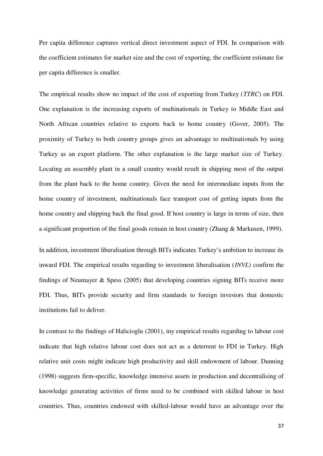Per capita difference captures vertical direct investment aspect of FDI. In comparison with the coefficient estimates for market size and the cost of exporting, the coefficient estimate for per capita difference is smaller.

The empirical results show no impact of the cost of exporting from Turkey (*TTRC*) on FDI. One explanation is the increasing exports of multinationals in Turkey to Middle East and North African countries relative to exports back to home country (Gover, 2005). The proximity of Turkey to both country groups gives an advantage to multinationals by using Turkey as an export platform. The other explanation is the large market size of Turkey. Locating an assembly plant in a small country would result in shipping most of the output from the plant back to the home country. Given the need for intermediate inputs from the home country of investment, multinationals face transport cost of getting inputs from the home country and shipping back the final good. If host country is large in terms of size, then a significant proportion of the final goods remain in host country (Zhang & Markusen, 1999).

In addition, investment liberalisation through BITs indicates Turkey's ambition to increase its inward FDI. The empirical results regarding to investment liberalisation (*INVL*) confirm the findings of Neumayer & Spess (2005) that developing countries signing BITs receive more FDI. Thus, BITs provide security and firm standards to foreign investors that domestic institutions fail to deliver.

In contrast to the findings of Halicioglu (2001), my empirical results regarding to labour cost indicate that high relative labour cost does not act as a deterrent to FDI in Turkey. High relative unit costs might indicate high productivity and skill endowment of labour. Dunning (1998) suggests firm-specific, knowledge intensive assets in production and decentralising of knowledge generating activities of firms need to be combined with skilled labour in host countries. Thus, countries endowed with skilled-labour would have an advantage over the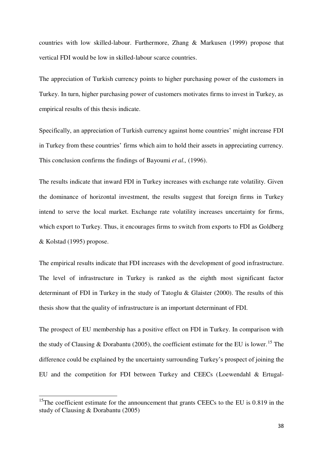countries with low skilled-labour. Furthermore, Zhang & Markusen (1999) propose that vertical FDI would be low in skilled-labour scarce countries.

The appreciation of Turkish currency points to higher purchasing power of the customers in Turkey. In turn, higher purchasing power of customers motivates firms to invest in Turkey, as empirical results of this thesis indicate.

Specifically, an appreciation of Turkish currency against home countries' might increase FDI in Turkey from these countries' firms which aim to hold their assets in appreciating currency. This conclusion confirms the findings of Bayoumi *et al.,* (1996).

The results indicate that inward FDI in Turkey increases with exchange rate volatility. Given the dominance of horizontal investment, the results suggest that foreign firms in Turkey intend to serve the local market. Exchange rate volatility increases uncertainty for firms, which export to Turkey. Thus, it encourages firms to switch from exports to FDI as Goldberg & Kolstad (1995) propose.

The empirical results indicate that FDI increases with the development of good infrastructure. The level of infrastructure in Turkey is ranked as the eighth most significant factor determinant of FDI in Turkey in the study of Tatoglu & Glaister (2000). The results of this thesis show that the quality of infrastructure is an important determinant of FDI.

The prospect of EU membership has a positive effect on FDI in Turkey. In comparison with the study of Clausing & Dorabantu (2005), the coefficient estimate for the EU is lower.<sup>15</sup> The difference could be explained by the uncertainty surrounding Turkey's prospect of joining the EU and the competition for FDI between Turkey and CEECs (Loewendahl & Ertugal-

<u>.</u>

<sup>&</sup>lt;sup>15</sup>The coefficient estimate for the announcement that grants CEECs to the EU is 0.819 in the study of Clausing & Dorabantu (2005)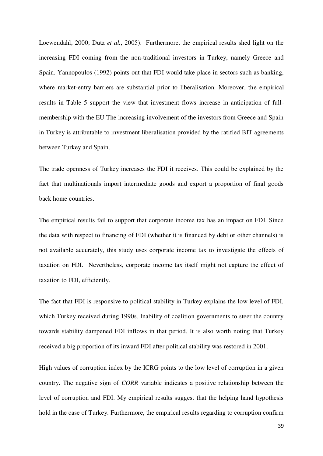Loewendahl, 2000; Dutz *et al.*, 2005). Furthermore, the empirical results shed light on the increasing FDI coming from the non-traditional investors in Turkey, namely Greece and Spain. Yannopoulos (1992) points out that FDI would take place in sectors such as banking, where market-entry barriers are substantial prior to liberalisation. Moreover, the empirical results in Table 5 support the view that investment flows increase in anticipation of fullmembership with the EU The increasing involvement of the investors from Greece and Spain in Turkey is attributable to investment liberalisation provided by the ratified BIT agreements between Turkey and Spain.

The trade openness of Turkey increases the FDI it receives. This could be explained by the fact that multinationals import intermediate goods and export a proportion of final goods back home countries.

The empirical results fail to support that corporate income tax has an impact on FDI. Since the data with respect to financing of FDI (whether it is financed by debt or other channels) is not available accurately, this study uses corporate income tax to investigate the effects of taxation on FDI. Nevertheless, corporate income tax itself might not capture the effect of taxation to FDI, efficiently.

The fact that FDI is responsive to political stability in Turkey explains the low level of FDI, which Turkey received during 1990s. Inability of coalition governments to steer the country towards stability dampened FDI inflows in that period. It is also worth noting that Turkey received a big proportion of its inward FDI after political stability was restored in 2001.

High values of corruption index by the ICRG points to the low level of corruption in a given country. The negative sign of *CORR* variable indicates a positive relationship between the level of corruption and FDI. My empirical results suggest that the helping hand hypothesis hold in the case of Turkey. Furthermore, the empirical results regarding to corruption confirm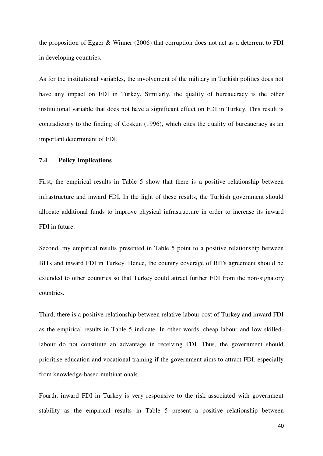the proposition of Egger & Winner (2006) that corruption does not act as a deterrent to FDI in developing countries.

As for the institutional variables, the involvement of the military in Turkish politics does not have any impact on FDI in Turkey. Similarly, the quality of bureaucracy is the other institutional variable that does not have a significant effect on FDI in Turkey. This result is contradictory to the finding of Coskun (1996), which cites the quality of bureaucracy as an important determinant of FDI.

#### **7.4 Policy Implications**

First, the empirical results in Table 5 show that there is a positive relationship between infrastructure and inward FDI. In the light of these results, the Turkish government should allocate additional funds to improve physical infrastructure in order to increase its inward FDI in future.

Second, my empirical results presented in Table 5 point to a positive relationship between BITs and inward FDI in Turkey. Hence, the country coverage of BITs agreement should be extended to other countries so that Turkey could attract further FDI from the non-signatory countries.

Third, there is a positive relationship between relative labour cost of Turkey and inward FDI as the empirical results in Table 5 indicate. In other words, cheap labour and low skilledlabour do not constitute an advantage in receiving FDI. Thus, the government should prioritise education and vocational training if the government aims to attract FDI, especially from knowledge-based multinationals.

Fourth, inward FDI in Turkey is very responsive to the risk associated with government stability as the empirical results in Table 5 present a positive relationship between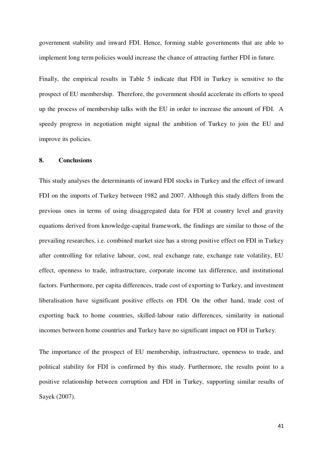government stability and inward FDI. Hence, forming stable governments that are able to implement long term policies would increase the chance of attracting further FDI in future.

Finally, the empirical results in Table 5 indicate that FDI in Turkey is sensitive to the prospect of EU membership. Therefore, the government should accelerate its efforts to speed up the process of membership talks with the EU in order to increase the amount of FDI. A speedy progress in negotiation might signal the ambition of Turkey to join the EU and improve its policies.

## **8. Conclusions**

This study analyses the determinants of inward FDI stocks in Turkey and the effect of inward FDI on the imports of Turkey between 1982 and 2007. Although this study differs from the previous ones in terms of using disaggregated data for FDI at country level and gravity equations derived from knowledge-capital framework, the findings are similar to those of the prevailing researches, i.e. combined market size has a strong positive effect on FDI in Turkey after controlling for relative labour, cost, real exchange rate, exchange rate volatility, EU effect, openness to trade, infrastructure, corporate income tax difference, and institutional factors. Furthermore, per capita differences, trade cost of exporting to Turkey, and investment liberalisation have significant positive effects on FDI. On the other hand, trade cost of exporting back to home countries, skilled-labour ratio differences, similarity in national incomes between home countries and Turkey have no significant impact on FDI in Turkey.

The importance of the prospect of EU membership, infrastructure, openness to trade, and political stability for FDI is confirmed by this study. Furthermore, the results point to a positive relationship between corruption and FDI in Turkey, supporting similar results of Sayek (2007).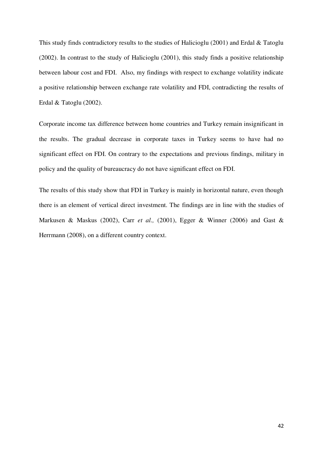This study finds contradictory results to the studies of Halicioglu (2001) and Erdal & Tatoglu (2002). In contrast to the study of Halicioglu (2001), this study finds a positive relationship between labour cost and FDI. Also, my findings with respect to exchange volatility indicate a positive relationship between exchange rate volatility and FDI, contradicting the results of Erdal & Tatoglu (2002).

Corporate income tax difference between home countries and Turkey remain insignificant in the results. The gradual decrease in corporate taxes in Turkey seems to have had no significant effect on FDI. On contrary to the expectations and previous findings, military in policy and the quality of bureaucracy do not have significant effect on FDI.

The results of this study show that FDI in Turkey is mainly in horizontal nature, even though there is an element of vertical direct investment. The findings are in line with the studies of Markusen & Maskus (2002), Carr *et al.,* (2001), Egger & Winner (2006) and Gast & Herrmann (2008), on a different country context.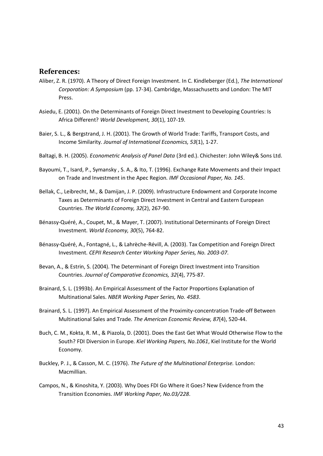## **References:**

- Aliber, Z. R. (1970). A Theory of Direct Foreign Investment. In C. Kindleberger (Ed.), *The International Corporation: A Symposium* (pp. 17-34). Cambridge, Massachusetts and London: The MIT Press.
- Asiedu, E. (2001). On the Determinants of Foreign Direct Investment to Developing Countries: Is Africa Different? *World Development, 30*(1), 107-19.
- Baier, S. L., & Bergstrand, J. H. (2001). The Growth of World Trade: Tariffs, Transport Costs, and Income Similarity. *Journal of International Economics, 53*(1), 1-27.
- Baltagi, B. H. (2005). *Econometric Analysis of Panel Data* (3rd ed.). Chichester: John Wiley& Sons Ltd.
- Bayoumi, T., Isard, P., Symansky , S. A., & Ito, T. (1996). Exchange Rate Movements and their Impact on Trade and Investment in the Apec Region. *IMF Occasional Paper, No. 145*.
- Bellak, C., Leibrecht, M., & Damijan, J. P. (2009). Infrastructure Endowment and Corporate Income Taxes as Determinants of Foreign Direct Investment in Central and Eastern European Countries. *The World Economy, 32*(2), 267-90.
- Bénassy-Quéré, A., Coupet, M., & Mayer, T. (2007). Institutional Determinants of Foreign Direct Investment. *World Economy, 30*(5), 764-82.
- Bénassy-Quéré, A., Fontagné, L., & Lahrèche-Révill, A. (2003). Tax Competition and Foreign Direct Investment. *CEPII Research Center Working Paper Series, No. 2003-07*.
- Bevan, A., & Estrin, S. (2004). The Determinant of Foreign Direct Investment into Transition Countries. *Journal of Comparative Economics, 32*(4), 775-87.
- Brainard, S. L. (1993b). An Empirical Assessment of the Factor Proportions Explanation of Multinational Sales. *NBER Working Paper Series, No. 4583*.
- Brainard, S. L. (1997). An Empirical Assessment of the Proximity-concentration Trade-off Between Multinational Sales and Trade. *The American Economic Review, 87*(4), 520-44.
- Buch, C. M., Kokta, R. M., & Piazola, D. (2001). Does the East Get What Would Otherwise Flow to the South? FDI Diversion in Europe. *Kiel Working Papers, No.1061*, Kiel Institute for the World Economy.
- Buckley, P. J., & Casson, M. C. (1976). *The Future of the Multinational Enterprise.* London: Macmillian.
- Campos, N., & Kinoshita, Y. (2003). Why Does FDI Go Where it Goes? New Evidence from the Transition Economies. *IMF Working Paper, No.03/228*.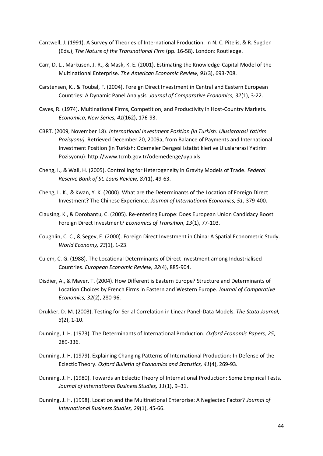- Cantwell, J. (1991). A Survey of Theories of International Production. In N. C. Pitelis, & R. Sugden (Eds.), *The Nature of the Transnational Firm* (pp. 16-58). London: Routledge.
- Carr, D. L., Markusen, J. R., & Mask, K. E. (2001). Estimating the Knowledge-Capital Model of the Multinational Enterprise. *The American Economic Review, 91*(3), 693-708.
- Carstensen, K., & Toubal, F. (2004). Foreign Direct Investment in Central and Eastern European Countries: A Dynamic Panel Analysis. *Journal of Comparative Economics, 32*(1), 3-22.
- Caves, R. (1974). Multinational Firms, Competition, and Productivity in Host-Country Markets. *Economica, New Series, 41*(162), 176-93.
- CBRT. (2009, November 18). *International Investment Position (in Turkish: Uluslararasi Yatirim Pozisyonu).* Retrieved December 20, 2009a, from Balance of Payments and International Investment Position (in Turkish: Odemeler Dengesi Istatistikleri ve Uluslararasi Yatirim Pozisyonu): http://www.tcmb.gov.tr/odemedenge/uyp.xls
- Cheng, I., & Wall, H. (2005). Controlling for Heterogeneity in Gravity Models of Trade. *Federal Reserve Bank of St. Louis Review, 87*(1), 49-63.
- Cheng, L. K., & Kwan, Y. K. (2000). What are the Determinants of the Location of Foreign Direct Investment? The Chinese Experience. *Journal of International Economics, 51*, 379-400.
- Clausing, K., & Dorobantu, C. (2005). Re-entering Europe: Does European Union Candidacy Boost Foreign Direct Investment? *Economics of Transition, 13*(1), 77-103.
- Coughlin, C. C., & Segev, E. (2000). Foreign Direct Investment in China: A Spatial Econometric Study. *World Economy, 23*(1), 1-23.
- Culem, C. G. (1988). The Locational Determinants of Direct Investment among Industrialised Countries. *European Economic Review, 32*(4), 885-904.
- Disdier, A., & Mayer, T. (2004). How Different is Eastern Europe? Structure and Determinants of Location Choices by French Firms in Eastern and Western Europe. *Journal of Comparative Economics, 32*(2), 280-96.
- Drukker, D. M. (2003). Testing for Serial Correlation in Linear Panel-Data Models. *The Stata Journal, 3*(2), 1-10.
- Dunning, J. H. (1973). The Determinants of International Production. *Oxford Economic Papers, 25*, 289-336.
- Dunning, J. H. (1979). Explaining Changing Patterns of International Production: In Defense of the Eclectic Theory. *Oxford Bulletin of Economics and Statistics, 41*(4), 269-93.
- Dunning, J. H. (1980). Towards an Eclectic Theory of International Production: Some Empirical Tests. *Journal of International Business Studies, 11*(1), 9–31.
- Dunning, J. H. (1998). Location and the Multinational Enterprise: A Neglected Factor? *Journal of International Business Studies, 29*(1), 45-66.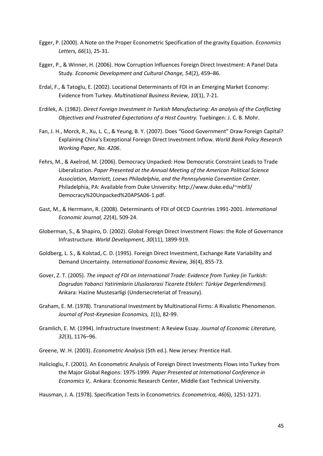- Egger, P. (2000). A Note on the Proper Econometric Specification of the gravity Equation. *Economics Letters, 66*(1), 25-31.
- Egger, P., & Winner, H. (2006). How Corruption Influences Foreign Direct Investment: A Panel Data Study. *Economic Development and Cultural Change, 54*(2), 459–86.
- Erdal, F., & Tatoglu, E. (2002). Locational Determinants of FDI in an Emerging Market Economy: Evidence from Turkey. *Multinational Business Review, 10*(1), 7-21.
- Erdilek, A. (1982). *Direct Foreign Investment in Turkish Manufacturing: An analysis of the Conflicting Objectives and Frustrated Expectations of a Host Country.* Tuebingen: J. C. B. Mohr.
- Fan, J. H., Morck, R., Xu, L. C., & Yeung, B. Y. (2007). Does "Good Government" Draw Foreign Capital? Explaining China's Exceptional Foreign Direct Investment Inflow. *World Bank Policy Research Working Paper, No. 4206*.
- Fehrs, M., & Axelrod, M. (2006). Democracy Unpacked: How Democratic Constraint Leads to Trade Liberalization. *Paper Presented at the Annual Meeting of the American Political Science Association, Marriott, Loews Philadelphia, and the Pennsylvania Convention Center.* Philadelphia, PA: Available from Duke University: http://www.duke.edu/~mbf3/ Democracy%20Unpacked%20APSA06-1.pdf.
- Gast, M., & Herrmann, R. (2008). Determinants of FDI of OECD Countries 1991-2001. *International Economic Journal, 22*(4), 509-24.
- Globerman, S., & Shapiro, D. (2002). Global Foreign Direct Investment Flows: the Role of Governance Infrastructure. *World Development, 30*(11), 1899-919.
- Goldberg, L. S., & Kolstad, C. D. (1995). Foreign Direct Investment, Exchange Rate Variability and Demand Uncertainty. *International Economic Review, 36*(4), 855-73.
- Gover, Z. T. (2005). *The impact of FDI on International Trade: Evidence from Turkey (in Turkish: Dogrudan Yabanci Yatirimlarin Uluslararasi Ticarete Etkileri: Türkiye Degerlendirmesi).* Ankara: Hazine Mustesarligi (Undersecreteriat of Treasury).
- Graham, E. M. (1978). Transnational Investment by Multinational Firms: A Rivalistic Phenomenon. *Journal of Post-Keynesian Economics, 1*(1), 82-99.
- Gramlich, E. M. (1994). Infrastructure Investment: A Review Essay. *Journal of Economic Literature, 32*(3), 1176–96.
- Greene, W. H. (2003). *Econometric Analysis* (5th ed.). New Jersey: Prentice Hall.
- Halicioglu, F. (2001). An Econometric Analysis of Foreign Direct Investments Flows into Turkey from the Major Global Regions: 1975-1999. *Paper Presented at International Conference in Economics V,.* Ankara: Economic Research Center, Middle East Technical University.

Hausman, J. A. (1978). Specification Tests in Econometrics. *Econometrica, 46*(6), 1251-1271.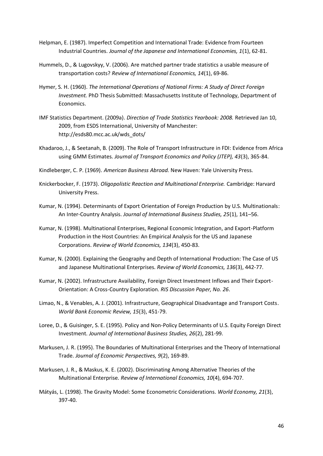- Helpman, E. (1987). Imperfect Competition and International Trade: Evidence from Fourteen Industrial Countries. *Journal of the Japanese and International Economies, 1*(1), 62-81.
- Hummels, D., & Lugovskyy, V. (2006). Are matched partner trade statistics a usable measure of transportation costs? *Review of International Economics, 14*(1), 69-86.
- Hymer, S. H. (1960). *The International Operations of National Firms: A Study of Direct Foreign Investment.* PhD Thesis Submitted: Massachusetts Institute of Technology, Department of Economics.
- IMF Statistics Department. (2009a). *Direction of Trade Statistics Yearbook: 2008.* Retrieved Jan 10, 2009, from ESDS International, University of Manchester: http://esds80.mcc.ac.uk/wds\_dots/
- Khadaroo, J., & Seetanah, B. (2009). The Role of Transport Infrastructure in FDI: Evidence from Africa using GMM Estimates. *Journal of Transport Economics and Policy (JTEP), 43*(3), 365-84.
- Kindleberger, C. P. (1969). *American Business Abroad.* New Haven: Yale University Press.
- Knickerbocker, F. (1973). *Oligopolistic Reaction and Multinational Enterprise.* Cambridge: Harvard University Press.
- Kumar, N. (1994). Determinants of Export Orientation of Foreign Production by U.S. Multinationals: An Inter-Country Analysis. *Journal of International Business Studies, 25*(1), 141–56.
- Kumar, N. (1998). Multinational Enterprises, Regional Economic Integration, and Export-Platform Production in the Host Countries: An Empirical Analysis for the US and Japanese Corporations. *Review of World Economics, 134*(3), 450-83.
- Kumar, N. (2000). Explaining the Geography and Depth of International Production: The Case of US and Japanese Multinational Enterprises. *Review of World Economics, 136*(3), 442-77.
- Kumar, N. (2002). Infrastructure Availability, Foreign Direct Investment Inflows and Their Export-Orientation: A Cross-Country Exploration. *RIS Discussion Paper, No. 26*.
- Limao, N., & Venables, A. J. (2001). Infrastructure, Geographical Disadvantage and Transport Costs. *World Bank Economic Review, 15*(3), 451-79.
- Loree, D., & Guisinger, S. E. (1995). Policy and Non-Policy Determinants of U.S. Equity Foreign Direct Investment. *Journal of International Business Studies, 26*(2), 281-99.
- Markusen, J. R. (1995). The Boundaries of Multinational Enterprises and the Theory of International Trade. *Journal of Economic Perspectives, 9*(2), 169-89.
- Markusen, J. R., & Maskus, K. E. (2002). Discriminating Among Alternative Theories of the Multinational Enterprise. *Review of International Economics, 10*(4), 694-707.
- Mátyás, L. (1998). The Gravity Model: Some Econometric Considerations. *World Economy, 21*(3), 397-40.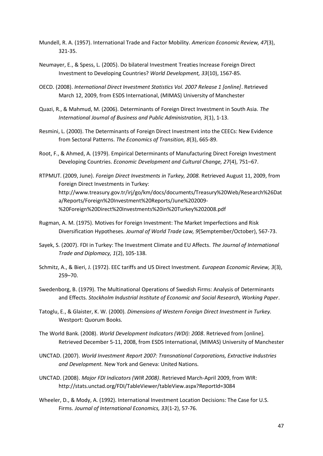- Mundell, R. A. (1957). International Trade and Factor Mobility. *American Economic Review, 47*(3), 321-35.
- Neumayer, E., & Spess, L. (2005). Do bilateral Investment Treaties Increase Foreign Direct Investment to Developing Countries? *World Development, 33*(10), 1567-85.
- OECD. (2008). *International Direct Investment Statistics Vol. 2007 Release 1 [online]*. Retrieved March 12, 2009, from ESDS International, (MIMAS) University of Manchester
- Quazi, R., & Mahmud, M. (2006). Determinants of Foreign Direct Investment in South Asia. *The International Journal of Business and Public Administration, 3*(1), 1-13.
- Resmini, L. (2000). The Determinants of Foreign Direct Investment into the CEECs: New Evidence from Sectoral Patterns. *The Economics of Transition, 8*(3), 665-89.
- Root, F., & Ahmed, A. (1979). Empirical Determinants of Manufacturing Direct Foreign Investment Developing Countries. *Economic Development and Cultural Change, 27*(4), 751–67.
- RTPMUT. (2009, June). *Foreign Direct Investments in Turkey, 2008.* Retrieved August 11, 2009, from Foreign Direct Investments in Turkey: http://www.treasury.gov.tr/irj/go/km/docs/documents/Treasury%20Web/Research%26Dat a/Reports/Foreign%20Investment%20Reports/June%202009- %20Foreign%20Direct%20Investments%20in%20Turkey%202008.pdf
- Rugman, A. M. (1975). Motives for Foreign Investment: The Market Imperfections and Risk Diversification Hypotheses. *Journal of World Trade Law, 9*(Semptember/October), 567-73.
- Sayek, S. (2007). FDI in Turkey: The Investment Climate and EU Affects. *The Journal of International Trade and Diplomacy, 1*(2), 105-138.
- Schmitz, A., & Bieri, J. (1972). EEC tariffs and US Direct Investment. *European Economic Review, 3*(3), 259–70.
- Swedenborg, B. (1979). The Multinational Operations of Swedish Firms: Analysis of Determinants and Effects. *Stockholm Industrial Institute of Economic and Social Research, Working Paper*.
- Tatoglu, E., & Glaister, K. W. (2000). *Dimensions of Western Foreign Direct Investment in Turkey.* Westport: Quorum Books.
- The World Bank. (2008). *World Development Indicators (WDI): 2008*. Retrieved from [online]. Retrieved December 5-11, 2008, from ESDS International, (MIMAS) University of Manchester
- UNCTAD. (2007). *World Investment Report 2007: Transnational Corporations, Extractive Industries and Development.* New York and Geneva: United Nations.
- UNCTAD. (2008). *Major FDI Indicators (WIR 2008)*. Retrieved March-April 2009, from WIR: http://stats.unctad.org/FDI/TableViewer/tableView.aspx?ReportId=3084
- Wheeler, D., & Mody, A. (1992). International Investment Location Decisions: The Case for U.S. Firms. *Journal of International Economics, 33*(1-2), 57-76.